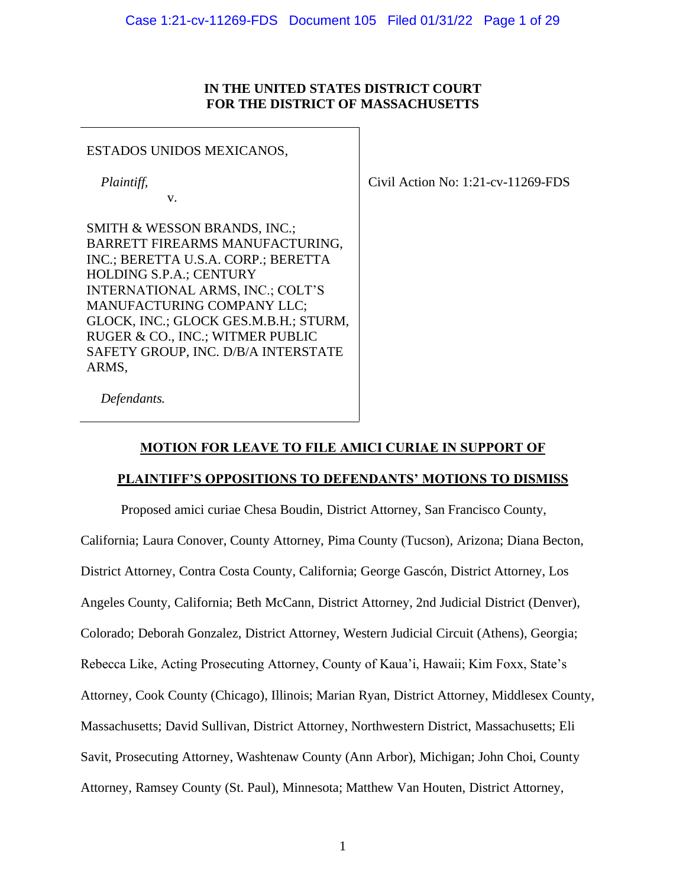### **IN THE UNITED STATES DISTRICT COURT FOR THE DISTRICT OF MASSACHUSETTS**

#### ESTADOS UNIDOS MEXICANOS,

*Plaintiff,*

v.

Civil Action No: 1:21-cv-11269-FDS

SMITH & WESSON BRANDS, INC.; BARRETT FIREARMS MANUFACTURING, INC.; BERETTA U.S.A. CORP.; BERETTA HOLDING S.P.A.; CENTURY INTERNATIONAL ARMS, INC.; COLT'S MANUFACTURING COMPANY LLC; GLOCK, INC.; GLOCK GES.M.B.H.; STURM, RUGER & CO., INC.; WITMER PUBLIC SAFETY GROUP, INC. D/B/A INTERSTATE ARMS,

*Defendants.*

# **MOTION FOR LEAVE TO FILE AMICI CURIAE IN SUPPORT OF**

# **PLAINTIFF'S OPPOSITIONS TO DEFENDANTS' MOTIONS TO DISMISS**

Proposed amici curiae Chesa Boudin, District Attorney, San Francisco County, California; Laura Conover, County Attorney, Pima County (Tucson), Arizona; Diana Becton, District Attorney, Contra Costa County, California; George Gascón, District Attorney, Los Angeles County, California; Beth McCann, District Attorney, 2nd Judicial District (Denver), Colorado; Deborah Gonzalez, District Attorney, Western Judicial Circuit (Athens), Georgia; Rebecca Like, Acting Prosecuting Attorney, County of Kaua'i, Hawaii; Kim Foxx, State's Attorney, Cook County (Chicago), Illinois; Marian Ryan, District Attorney, Middlesex County, Massachusetts; David Sullivan, District Attorney, Northwestern District, Massachusetts; Eli Savit, Prosecuting Attorney, Washtenaw County (Ann Arbor), Michigan; John Choi, County Attorney, Ramsey County (St. Paul), Minnesota; Matthew Van Houten, District Attorney,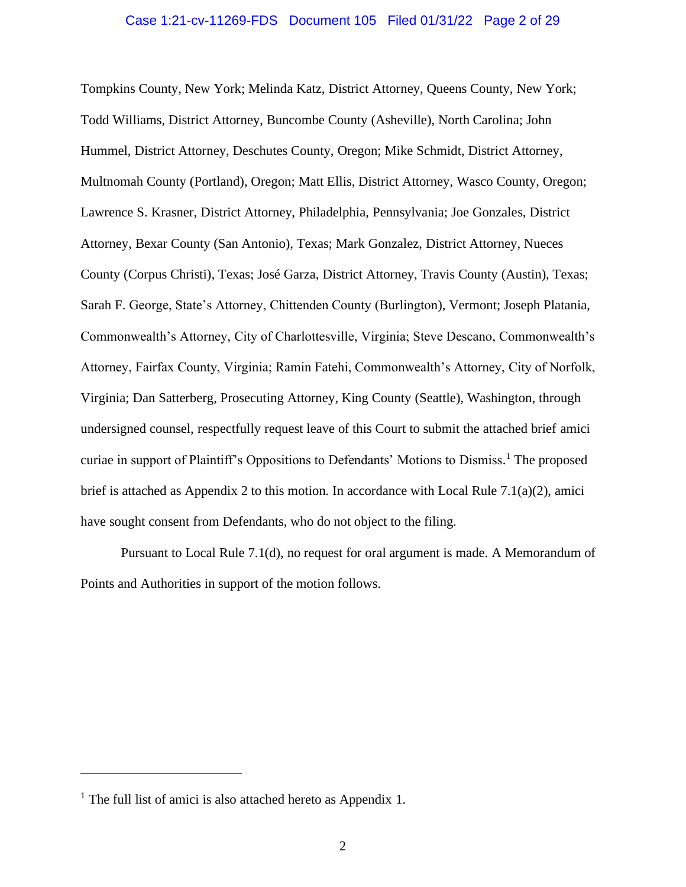#### Case 1:21-cv-11269-FDS Document 105 Filed 01/31/22 Page 2 of 29

Tompkins County, New York; Melinda Katz, District Attorney, Queens County, New York; Todd Williams, District Attorney, Buncombe County (Asheville), North Carolina; John Hummel, District Attorney, Deschutes County, Oregon; Mike Schmidt, District Attorney, Multnomah County (Portland), Oregon; Matt Ellis, District Attorney, Wasco County, Oregon; Lawrence S. Krasner, District Attorney, Philadelphia, Pennsylvania; Joe Gonzales, District Attorney, Bexar County (San Antonio), Texas; Mark Gonzalez, District Attorney, Nueces County (Corpus Christi), Texas; José Garza, District Attorney, Travis County (Austin), Texas; Sarah F. George, State's Attorney, Chittenden County (Burlington), Vermont; Joseph Platania, Commonwealth's Attorney, City of Charlottesville, Virginia; Steve Descano, Commonwealth's Attorney, Fairfax County, Virginia; Ramin Fatehi, Commonwealth's Attorney, City of Norfolk, Virginia; Dan Satterberg, Prosecuting Attorney, King County (Seattle), Washington, through undersigned counsel, respectfully request leave of this Court to submit the attached brief amici curiae in support of Plaintiff's Oppositions to Defendants' Motions to Dismiss. <sup>1</sup> The proposed brief is attached as Appendix 2 to this motion. In accordance with Local Rule 7.1(a)(2), amici have sought consent from Defendants, who do not object to the filing.

Pursuant to Local Rule 7.1(d), no request for oral argument is made. A Memorandum of Points and Authorities in support of the motion follows.

<sup>&</sup>lt;sup>1</sup> The full list of amici is also attached hereto as Appendix 1.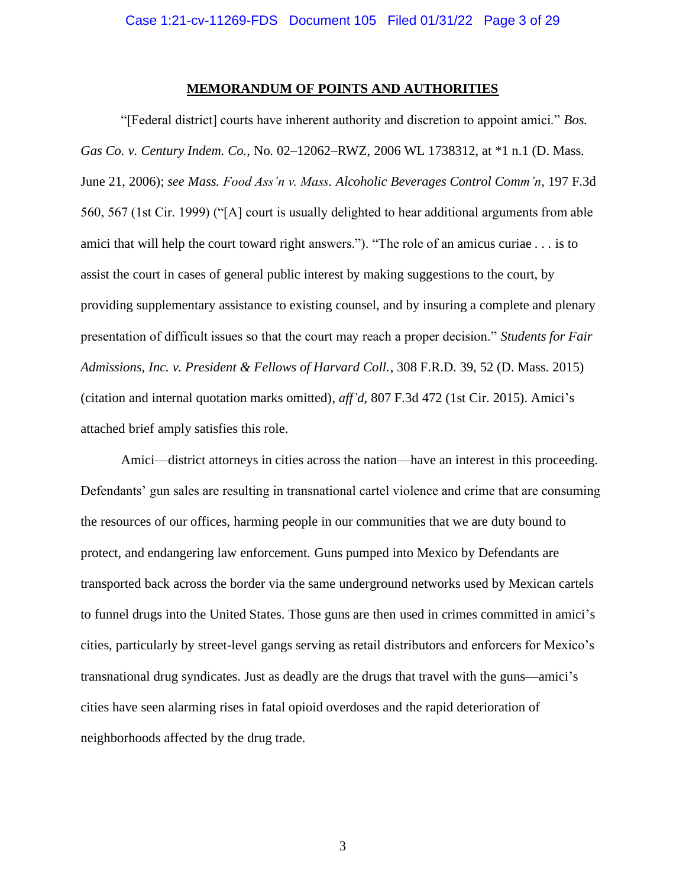#### **MEMORANDUM OF POINTS AND AUTHORITIES**

"[Federal district] courts have inherent authority and discretion to appoint amici." *Bos. Gas Co. v. Century Indem. Co.*, No. 02–12062–RWZ, 2006 WL 1738312, at \*1 n.1 (D. Mass. June 21, 2006); *see Mass. Food Ass'n v. Mass. Alcoholic Beverages Control Comm'n*, 197 F.3d 560, 567 (1st Cir. 1999) ("[A] court is usually delighted to hear additional arguments from able amici that will help the court toward right answers."). "The role of an amicus curiae *. . .* is to assist the court in cases of general public interest by making suggestions to the court, by providing supplementary assistance to existing counsel, and by insuring a complete and plenary presentation of difficult issues so that the court may reach a proper decision." *Students for Fair Admissions, Inc. v. President & Fellows of Harvard Coll.*, 308 F.R.D. 39, 52 (D. Mass. 2015) (citation and internal quotation marks omitted), *aff'd*, 807 F.3d 472 (1st Cir. 2015). Amici's attached brief amply satisfies this role.

Amici—district attorneys in cities across the nation—have an interest in this proceeding. Defendants' gun sales are resulting in transnational cartel violence and crime that are consuming the resources of our offices, harming people in our communities that we are duty bound to protect, and endangering law enforcement. Guns pumped into Mexico by Defendants are transported back across the border via the same underground networks used by Mexican cartels to funnel drugs into the United States. Those guns are then used in crimes committed in amici's cities, particularly by street-level gangs serving as retail distributors and enforcers for Mexico's transnational drug syndicates. Just as deadly are the drugs that travel with the guns—amici's cities have seen alarming rises in fatal opioid overdoses and the rapid deterioration of neighborhoods affected by the drug trade.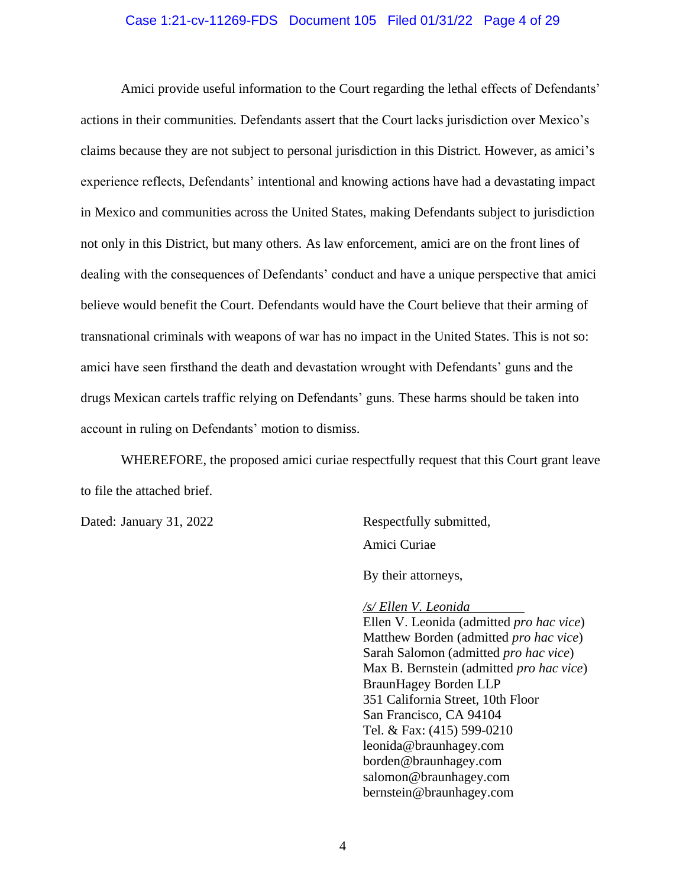#### Case 1:21-cv-11269-FDS Document 105 Filed 01/31/22 Page 4 of 29

Amici provide useful information to the Court regarding the lethal effects of Defendants' actions in their communities. Defendants assert that the Court lacks jurisdiction over Mexico's claims because they are not subject to personal jurisdiction in this District. However, as amici's experience reflects, Defendants' intentional and knowing actions have had a devastating impact in Mexico and communities across the United States, making Defendants subject to jurisdiction not only in this District, but many others. As law enforcement, amici are on the front lines of dealing with the consequences of Defendants' conduct and have a unique perspective that amici believe would benefit the Court. Defendants would have the Court believe that their arming of transnational criminals with weapons of war has no impact in the United States. This is not so: amici have seen firsthand the death and devastation wrought with Defendants' guns and the drugs Mexican cartels traffic relying on Defendants' guns. These harms should be taken into account in ruling on Defendants' motion to dismiss.

WHEREFORE, the proposed amici curiae respectfully request that this Court grant leave to file the attached brief.

Dated: January 31, 2022 Respectfully submitted, Amici Curiae

By their attorneys,

*/s/ Ellen V. Leonida* Ellen V. Leonida (admitted *pro hac vice*) Matthew Borden (admitted *pro hac vice*) Sarah Salomon (admitted *pro hac vice*) Max B. Bernstein (admitted *pro hac vice*) BraunHagey Borden LLP 351 California Street, 10th Floor San Francisco, CA 94104 Tel. & Fax: (415) 599-0210 leonida@braunhagey.com borden@braunhagey.com salomon@braunhagey.com bernstein@braunhagey.com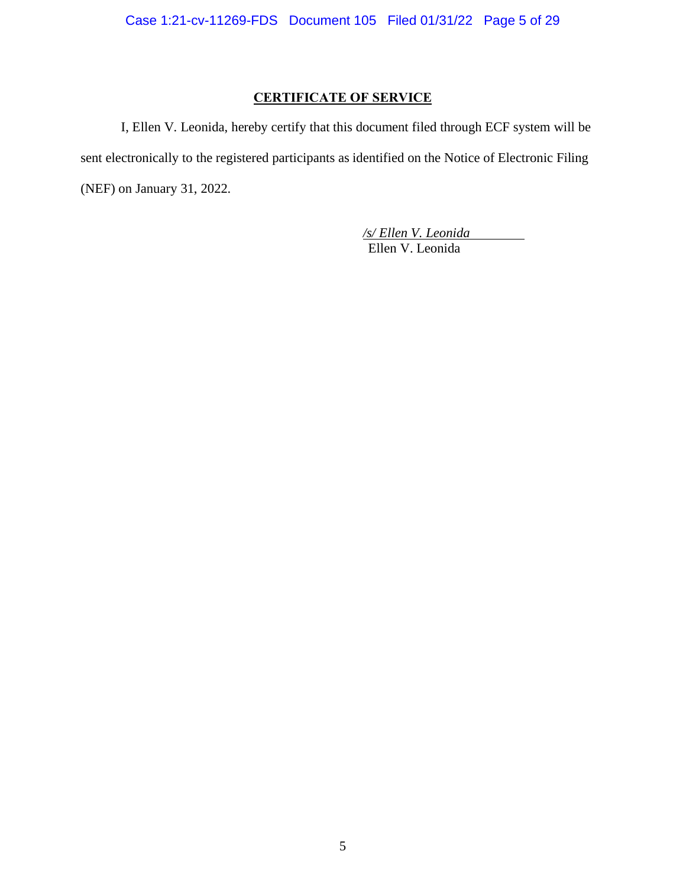# **CERTIFICATE OF SERVICE**

I, Ellen V. Leonida, hereby certify that this document filed through ECF system will be sent electronically to the registered participants as identified on the Notice of Electronic Filing (NEF) on January 31, 2022.

> */s/ Ellen V. Leonida* Ellen V. Leonida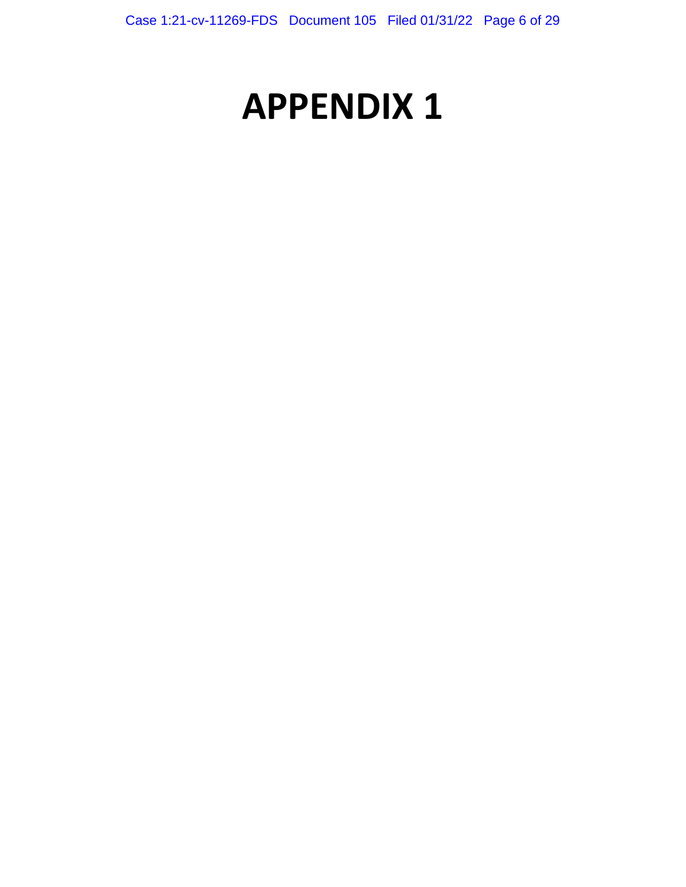# **APPENDIX 1**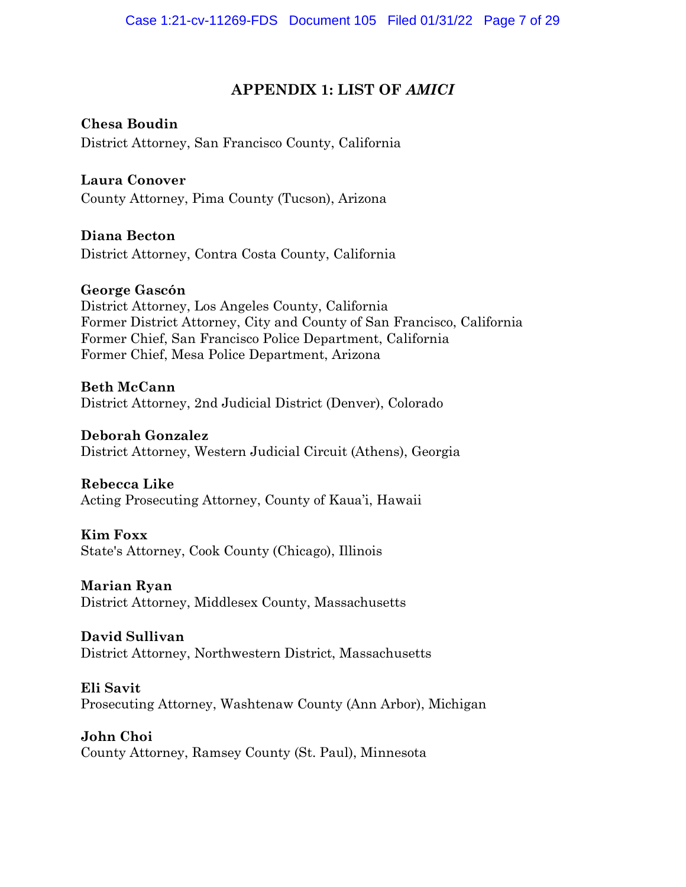# **APPENDIX 1: LIST OF** *AMICI*

**Chesa Boudin** District Attorney, San Francisco County, California

**Laura Conover** County Attorney, Pima County (Tucson), Arizona

**Diana Becton** District Attorney, Contra Costa County, California

**George Gascón** District Attorney, Los Angeles County, California Former District Attorney, City and County of San Francisco, California Former Chief, San Francisco Police Department, California Former Chief, Mesa Police Department, Arizona

**Beth McCann** District Attorney, 2nd Judicial District (Denver), Colorado

**Deborah Gonzalez** District Attorney, Western Judicial Circuit (Athens), Georgia

**Rebecca Like** Acting Prosecuting Attorney, County of Kaua'i, Hawaii

**Kim Foxx** State's Attorney, Cook County (Chicago), Illinois

**Marian Ryan** District Attorney, Middlesex County, Massachusetts

**David Sullivan** District Attorney, Northwestern District, Massachusetts

**Eli Savit** Prosecuting Attorney, Washtenaw County (Ann Arbor), Michigan

**John Choi** County Attorney, Ramsey County (St. Paul), Minnesota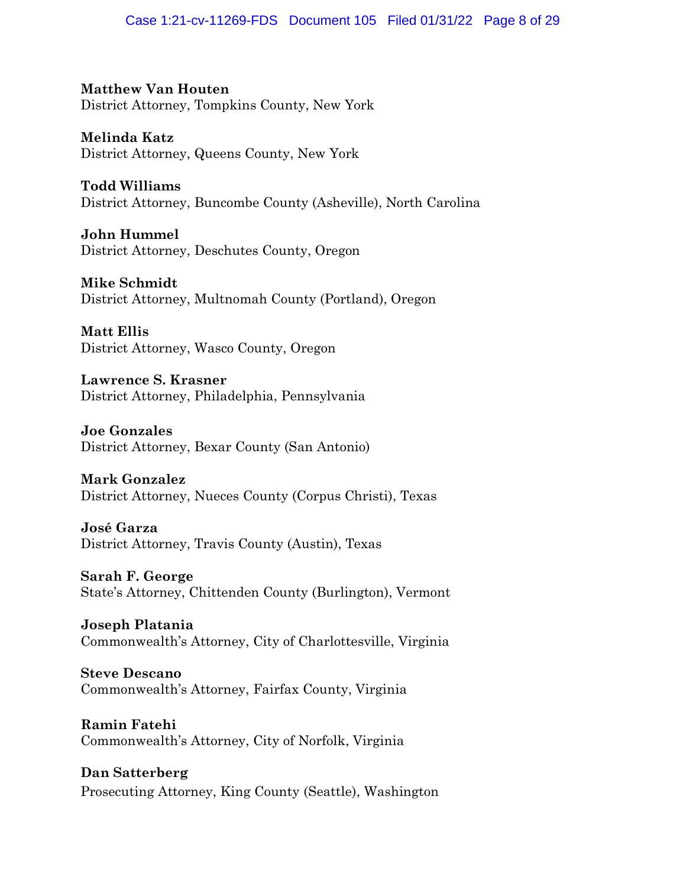# Case 1:21-cv-11269-FDS Document 105 Filed 01/31/22 Page 8 of 29

**Matthew Van Houten** District Attorney, Tompkins County, New York

**Melinda Katz** District Attorney, Queens County, New York

**Todd Williams** District Attorney, Buncombe County (Asheville), North Carolina

**John Hummel** District Attorney, Deschutes County, Oregon

**Mike Schmidt** District Attorney, Multnomah County (Portland), Oregon

**Matt Ellis** District Attorney, Wasco County, Oregon

**Lawrence S. Krasner** District Attorney, Philadelphia, Pennsylvania

**Joe Gonzales** District Attorney, Bexar County (San Antonio)

**Mark Gonzalez** District Attorney, Nueces County (Corpus Christi), Texas

**José Garza** District Attorney, Travis County (Austin), Texas

**Sarah F. George** State's Attorney, Chittenden County (Burlington), Vermont

**Joseph Platania** Commonwealth's Attorney, City of Charlottesville, Virginia

**Steve Descano** Commonwealth's Attorney, Fairfax County, Virginia

**Ramin Fatehi** Commonwealth's Attorney, City of Norfolk, Virginia

**Dan Satterberg** Prosecuting Attorney, King County (Seattle), Washington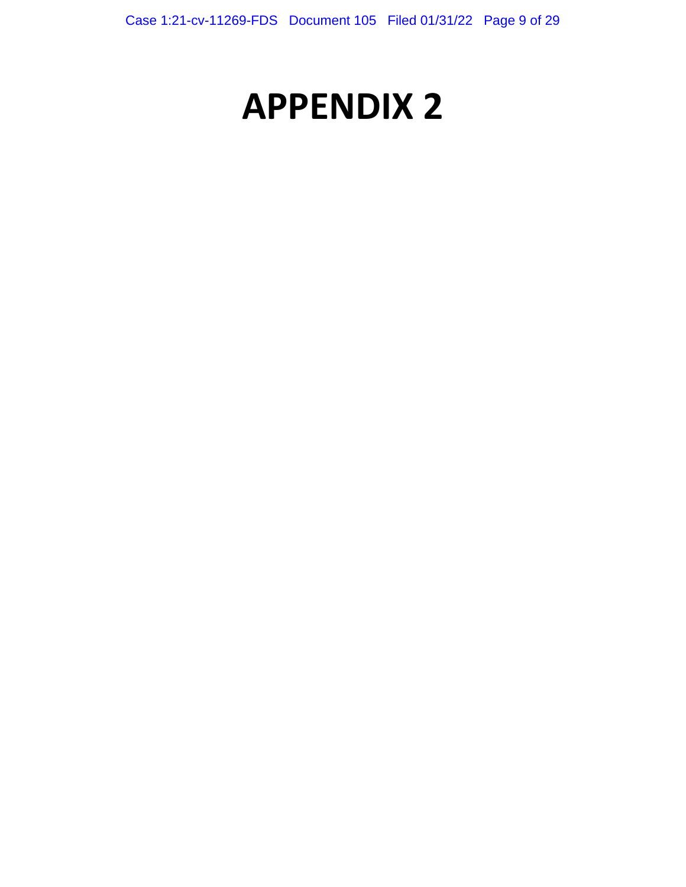# **APPENDIX 2**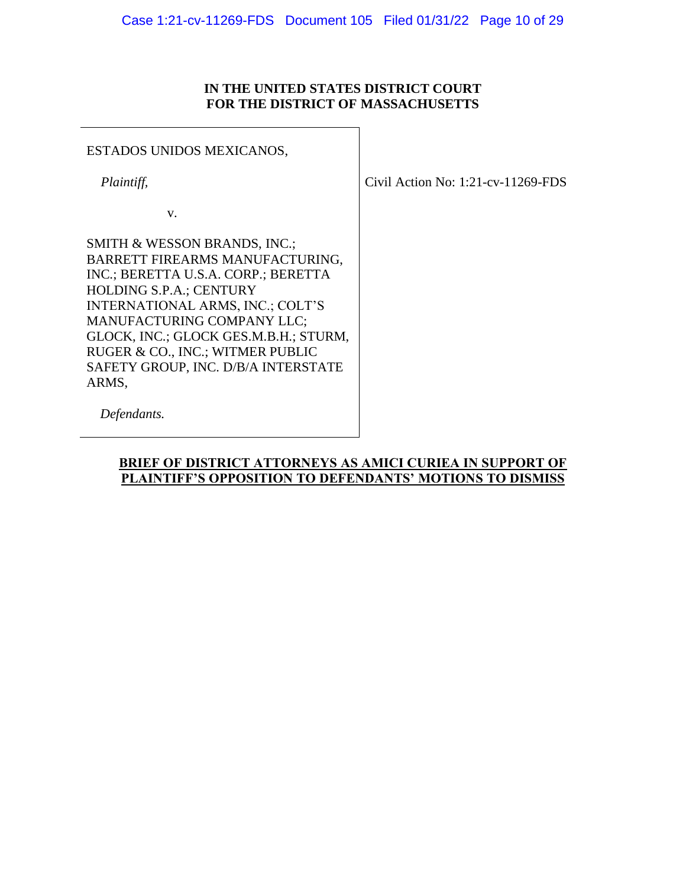# **IN THE UNITED STATES DISTRICT COURT FOR THE DISTRICT OF MASSACHUSETTS**

# ESTADOS UNIDOS MEXICANOS,

*Plaintiff,*

v.

Civil Action No: 1:21-cv-11269-FDS

SMITH & WESSON BRANDS, INC.; BARRETT FIREARMS MANUFACTURING, INC.; BERETTA U.S.A. CORP.; BERETTA HOLDING S.P.A.; CENTURY INTERNATIONAL ARMS, INC.; COLT'S MANUFACTURING COMPANY LLC; GLOCK, INC.; GLOCK GES.M.B.H.; STURM, RUGER & CO., INC.; WITMER PUBLIC SAFETY GROUP, INC. D/B/A INTERSTATE ARMS,

*Defendants.*

# **BRIEF OF DISTRICT ATTORNEYS AS AMICI CURIEA IN SUPPORT OF PLAINTIFF'S OPPOSITION TO DEFENDANTS' MOTIONS TO DISMISS**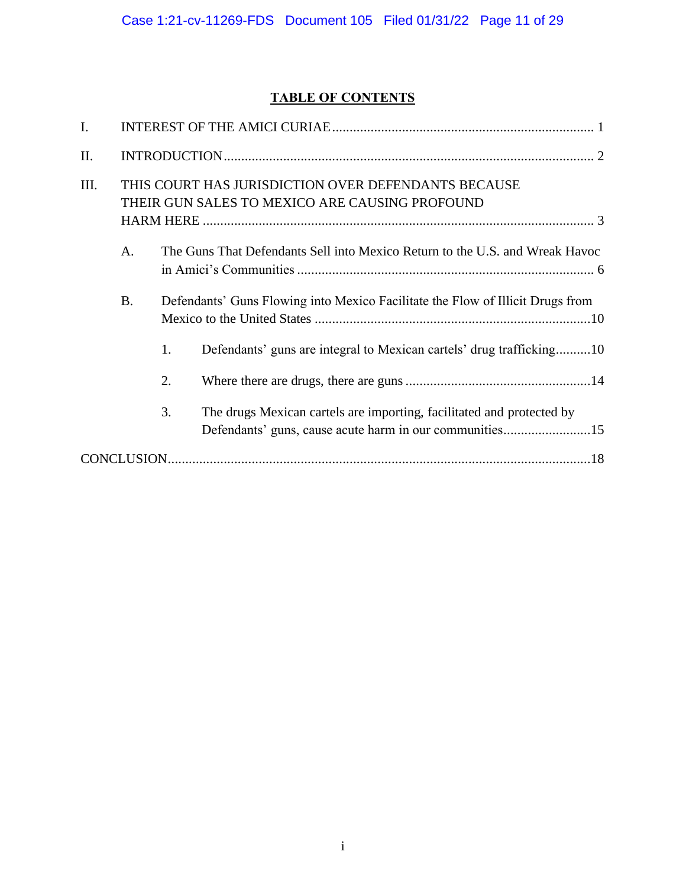# **TABLE OF CONTENTS**

| I.   |           |                                                                                                                                        |
|------|-----------|----------------------------------------------------------------------------------------------------------------------------------------|
| II.  |           |                                                                                                                                        |
| III. |           | THIS COURT HAS JURISDICTION OVER DEFENDANTS BECAUSE<br>THEIR GUN SALES TO MEXICO ARE CAUSING PROFOUND                                  |
|      | A.        | The Guns That Defendants Sell into Mexico Return to the U.S. and Wreak Havoc                                                           |
|      | <b>B.</b> | Defendants' Guns Flowing into Mexico Facilitate the Flow of Illicit Drugs from                                                         |
|      |           | Defendants' guns are integral to Mexican cartels' drug trafficking10<br>1.                                                             |
|      |           | 2.                                                                                                                                     |
|      |           | 3.<br>The drugs Mexican cartels are importing, facilitated and protected by<br>Defendants' guns, cause acute harm in our communities15 |
|      |           |                                                                                                                                        |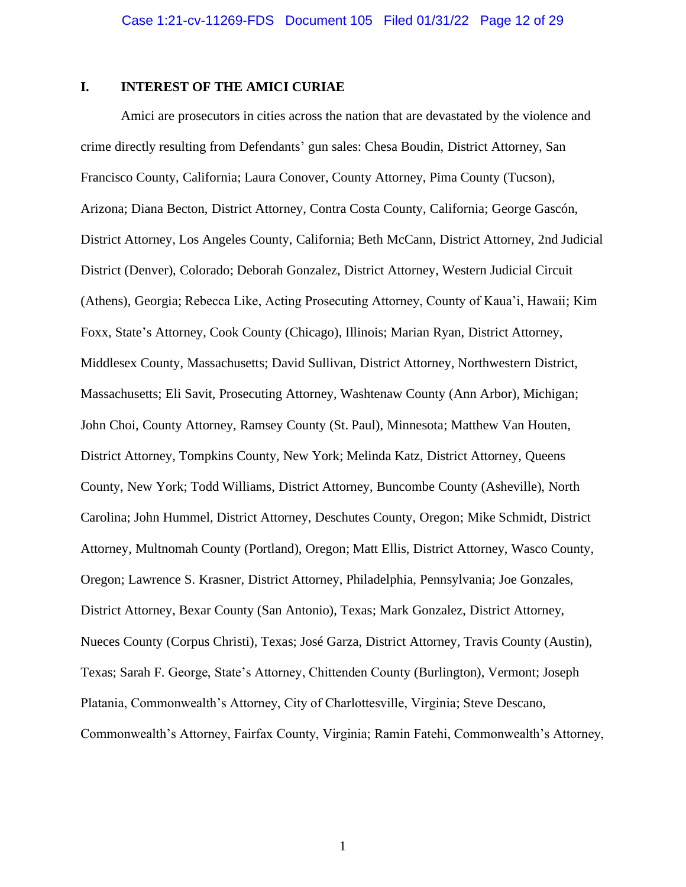#### <span id="page-11-0"></span>**I. INTEREST OF THE AMICI CURIAE**

Amici are prosecutors in cities across the nation that are devastated by the violence and crime directly resulting from Defendants' gun sales: Chesa Boudin, District Attorney, San Francisco County, California; Laura Conover, County Attorney, Pima County (Tucson), Arizona; Diana Becton, District Attorney, Contra Costa County, California; George Gascón, District Attorney, Los Angeles County, California; Beth McCann, District Attorney, 2nd Judicial District (Denver), Colorado; Deborah Gonzalez, District Attorney, Western Judicial Circuit (Athens), Georgia; Rebecca Like, Acting Prosecuting Attorney, County of Kaua'i, Hawaii; Kim Foxx, State's Attorney, Cook County (Chicago), Illinois; Marian Ryan, District Attorney, Middlesex County, Massachusetts; David Sullivan, District Attorney, Northwestern District, Massachusetts; Eli Savit, Prosecuting Attorney, Washtenaw County (Ann Arbor), Michigan; John Choi, County Attorney, Ramsey County (St. Paul), Minnesota; Matthew Van Houten, District Attorney, Tompkins County, New York; Melinda Katz, District Attorney, Queens County, New York; Todd Williams, District Attorney, Buncombe County (Asheville), North Carolina; John Hummel, District Attorney, Deschutes County, Oregon; Mike Schmidt, District Attorney, Multnomah County (Portland), Oregon; Matt Ellis, District Attorney, Wasco County, Oregon; Lawrence S. Krasner, District Attorney, Philadelphia, Pennsylvania; Joe Gonzales, District Attorney, Bexar County (San Antonio), Texas; Mark Gonzalez, District Attorney, Nueces County (Corpus Christi), Texas; José Garza, District Attorney, Travis County (Austin), Texas; Sarah F. George, State's Attorney, Chittenden County (Burlington), Vermont; Joseph Platania, Commonwealth's Attorney, City of Charlottesville, Virginia; Steve Descano, Commonwealth's Attorney, Fairfax County, Virginia; Ramin Fatehi, Commonwealth's Attorney,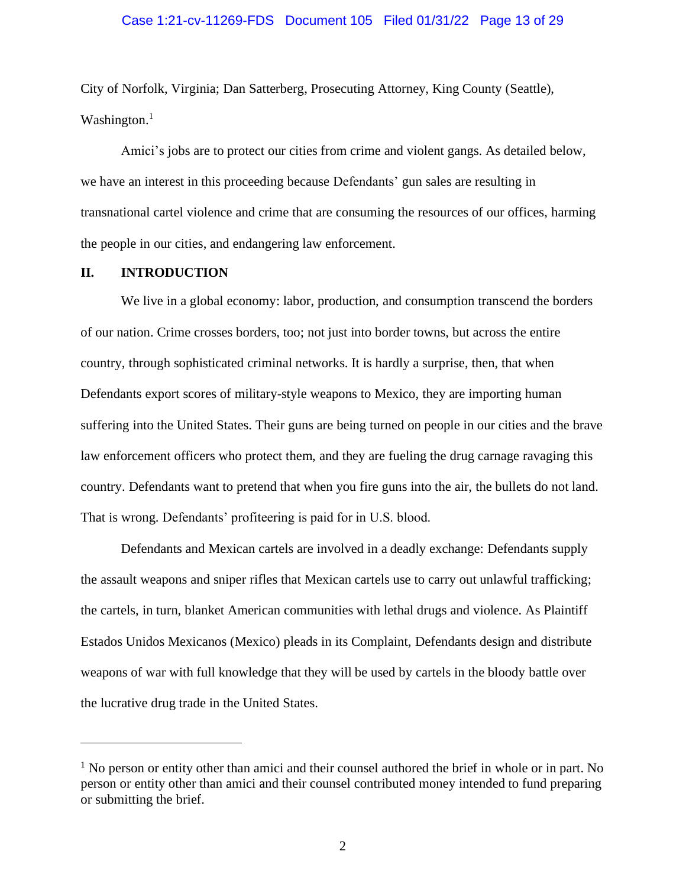#### Case 1:21-cv-11269-FDS Document 105 Filed 01/31/22 Page 13 of 29

City of Norfolk, Virginia; Dan Satterberg, Prosecuting Attorney, King County (Seattle), Washington.<sup>1</sup>

Amici's jobs are to protect our cities from crime and violent gangs. As detailed below, we have an interest in this proceeding because Defendants' gun sales are resulting in transnational cartel violence and crime that are consuming the resources of our offices, harming the people in our cities, and endangering law enforcement.

#### <span id="page-12-0"></span>**II. INTRODUCTION**

We live in a global economy: labor, production, and consumption transcend the borders of our nation. Crime crosses borders, too; not just into border towns, but across the entire country, through sophisticated criminal networks. It is hardly a surprise, then, that when Defendants export scores of military-style weapons to Mexico, they are importing human suffering into the United States. Their guns are being turned on people in our cities and the brave law enforcement officers who protect them, and they are fueling the drug carnage ravaging this country. Defendants want to pretend that when you fire guns into the air, the bullets do not land. That is wrong. Defendants' profiteering is paid for in U.S. blood.

Defendants and Mexican cartels are involved in a deadly exchange: Defendants supply the assault weapons and sniper rifles that Mexican cartels use to carry out unlawful trafficking; the cartels, in turn, blanket American communities with lethal drugs and violence. As Plaintiff Estados Unidos Mexicanos (Mexico) pleads in its Complaint, Defendants design and distribute weapons of war with full knowledge that they will be used by cartels in the bloody battle over the lucrative drug trade in the United States.

<sup>&</sup>lt;sup>1</sup> No person or entity other than amici and their counsel authored the brief in whole or in part. No person or entity other than amici and their counsel contributed money intended to fund preparing or submitting the brief.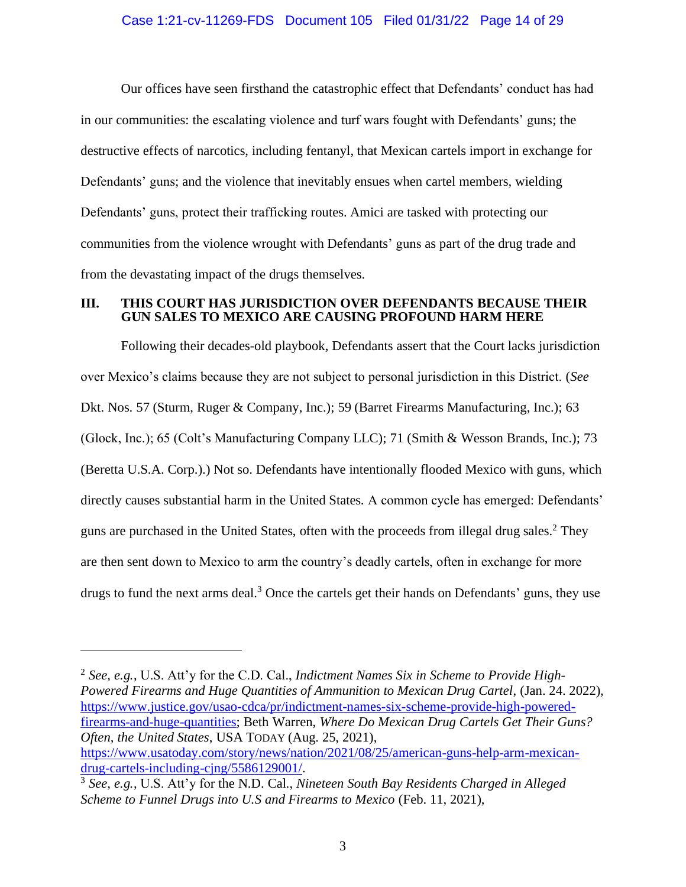#### Case 1:21-cv-11269-FDS Document 105 Filed 01/31/22 Page 14 of 29

Our offices have seen firsthand the catastrophic effect that Defendants' conduct has had in our communities: the escalating violence and turf wars fought with Defendants' guns; the destructive effects of narcotics, including fentanyl, that Mexican cartels import in exchange for Defendants' guns; and the violence that inevitably ensues when cartel members, wielding Defendants' guns, protect their trafficking routes. Amici are tasked with protecting our communities from the violence wrought with Defendants' guns as part of the drug trade and from the devastating impact of the drugs themselves.

#### <span id="page-13-0"></span>**III. THIS COURT HAS JURISDICTION OVER DEFENDANTS BECAUSE THEIR GUN SALES TO MEXICO ARE CAUSING PROFOUND HARM HERE**

Following their decades-old playbook, Defendants assert that the Court lacks jurisdiction over Mexico's claims because they are not subject to personal jurisdiction in this District. (*See*  Dkt. Nos. 57 (Sturm, Ruger & Company, Inc.); 59 (Barret Firearms Manufacturing, Inc.); 63 (Glock, Inc.); 65 (Colt's Manufacturing Company LLC); 71 (Smith & Wesson Brands, Inc.); 73 (Beretta U.S.A. Corp.).) Not so. Defendants have intentionally flooded Mexico with guns, which directly causes substantial harm in the United States. A common cycle has emerged: Defendants' guns are purchased in the United States, often with the proceeds from illegal drug sales. <sup>2</sup> They are then sent down to Mexico to arm the country's deadly cartels, often in exchange for more drugs to fund the next arms deal.<sup>3</sup> Once the cartels get their hands on Defendants' guns, they use

<span id="page-13-2"></span><span id="page-13-1"></span>2 *See, e.g.*, U.S. Att'y for the C.D. Cal., *Indictment Names Six in Scheme to Provide High-Powered Firearms and Huge Quantities of Ammunition to Mexican Drug Cartel*, (Jan. 24. 2022), [https://www.justice.gov/usao-cdca/pr/indictment-names-six-scheme-provide-high-powered](https://www.justice.gov/usao-cdca/pr/indictment-names-six-scheme-provide-high-powered-firearms-and-huge-quantities)[firearms-and-huge-quantities;](https://www.justice.gov/usao-cdca/pr/indictment-names-six-scheme-provide-high-powered-firearms-and-huge-quantities) Beth Warren, *Where Do Mexican Drug Cartels Get Their Guns? Often, the United States*, USA TODAY (Aug. 25, 2021), [https://www.usatoday.com/story/news/nation/2021/08/25/american-guns-help-arm-mexican](https://www.usatoday.com/story/news/nation/2021/08/25/american-guns-help-arm-mexican-drug-cartels-including-cjng/5586129001/)[drug-cartels-including-cjng/5586129001/.](https://www.usatoday.com/story/news/nation/2021/08/25/american-guns-help-arm-mexican-drug-cartels-including-cjng/5586129001/)

<sup>3</sup> *See, e.g.*, U.S. Att'y for the N.D. Cal., *Nineteen South Bay Residents Charged in Alleged Scheme to Funnel Drugs into U.S and Firearms to Mexico* (Feb. 11, 2021),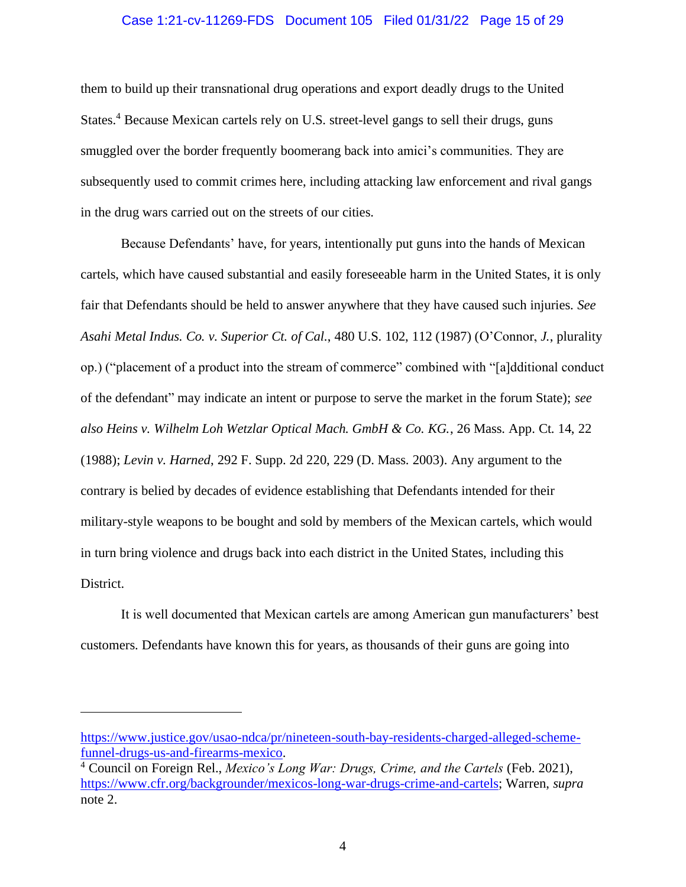#### Case 1:21-cv-11269-FDS Document 105 Filed 01/31/22 Page 15 of 29

<span id="page-14-0"></span>them to build up their transnational drug operations and export deadly drugs to the United States.<sup>4</sup> Because Mexican cartels rely on U.S. street-level gangs to sell their drugs, guns smuggled over the border frequently boomerang back into amici's communities. They are subsequently used to commit crimes here, including attacking law enforcement and rival gangs in the drug wars carried out on the streets of our cities.

Because Defendants' have, for years, intentionally put guns into the hands of Mexican cartels, which have caused substantial and easily foreseeable harm in the United States, it is only fair that Defendants should be held to answer anywhere that they have caused such injuries. *See Asahi Metal Indus. Co. v. Superior Ct. of Cal.*, 480 U.S. 102, 112 (1987) (O'Connor, *J.*, plurality op.) ("placement of a product into the stream of commerce" combined with "[a]dditional conduct of the defendant" may indicate an intent or purpose to serve the market in the forum State); *see also Heins v. Wilhelm Loh Wetzlar Optical Mach. GmbH & Co. KG.*, 26 Mass. App. Ct. 14, 22 (1988); *Levin v. Harned*, 292 F. Supp. 2d 220, 229 (D. Mass. 2003). Any argument to the contrary is belied by decades of evidence establishing that Defendants intended for their military-style weapons to be bought and sold by members of the Mexican cartels, which would in turn bring violence and drugs back into each district in the United States, including this District.

It is well documented that Mexican cartels are among American gun manufacturers' best customers. Defendants have known this for years, as thousands of their guns are going into

[https://www.justice.gov/usao-ndca/pr/nineteen-south-bay-residents-charged-alleged-scheme](https://www.justice.gov/usao-ndca/pr/nineteen-south-bay-residents-charged-alleged-scheme-funnel-drugs-us-and-firearms-mexico)[funnel-drugs-us-and-firearms-mexico.](https://www.justice.gov/usao-ndca/pr/nineteen-south-bay-residents-charged-alleged-scheme-funnel-drugs-us-and-firearms-mexico)

<sup>4</sup> Council on Foreign Rel., *Mexico's Long War: Drugs, Crime, and the Cartels* (Feb. 2021), [https://www.cfr.org/backgrounder/mexicos-long-war-drugs-crime-and-cartels;](https://www.cfr.org/backgrounder/mexicos-long-war-drugs-crime-and-cartels) Warren, *supra*  note [2.](#page-13-1)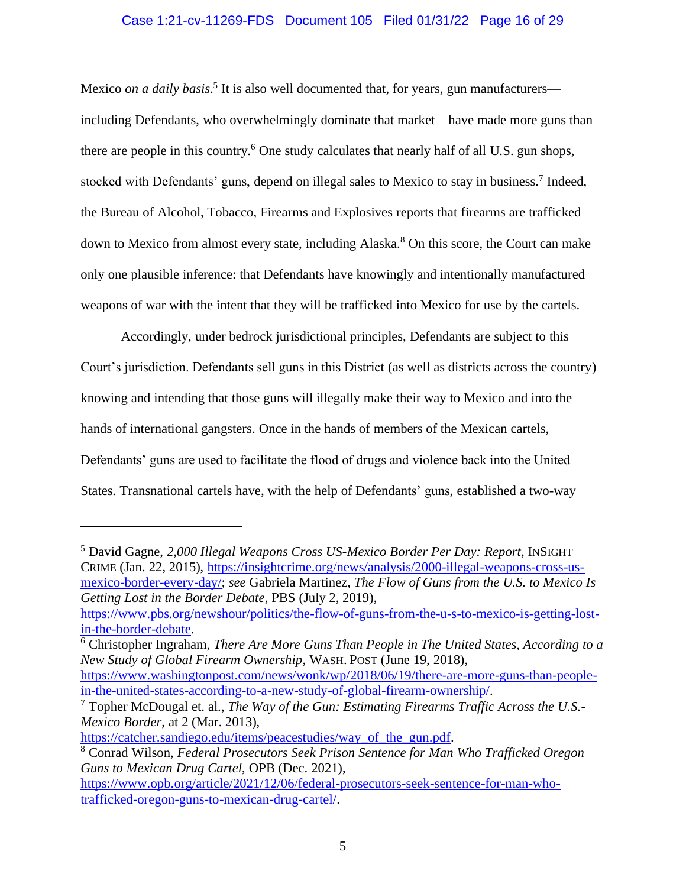#### Case 1:21-cv-11269-FDS Document 105 Filed 01/31/22 Page 16 of 29

Mexico *on a daily basis*.<sup>5</sup> It is also well documented that, for years, gun manufacturers including Defendants, who overwhelmingly dominate that market—have made more guns than there are people in this country.<sup>6</sup> One study calculates that nearly half of all U.S. gun shops, stocked with Defendants' guns, depend on illegal sales to Mexico to stay in business.<sup>7</sup> Indeed, the Bureau of Alcohol, Tobacco, Firearms and Explosives reports that firearms are trafficked down to Mexico from almost every state, including Alaska. <sup>8</sup> On this score, the Court can make only one plausible inference: that Defendants have knowingly and intentionally manufactured weapons of war with the intent that they will be trafficked into Mexico for use by the cartels.

<span id="page-15-0"></span>Accordingly, under bedrock jurisdictional principles, Defendants are subject to this Court's jurisdiction. Defendants sell guns in this District (as well as districts across the country) knowing and intending that those guns will illegally make their way to Mexico and into the hands of international gangsters. Once in the hands of members of the Mexican cartels, Defendants' guns are used to facilitate the flood of drugs and violence back into the United States. Transnational cartels have, with the help of Defendants' guns, established a two-way

<sup>5</sup> David Gagne, *2,000 Illegal Weapons Cross US-Mexico Border Per Day: Report*, INSIGHT CRIME (Jan. 22, 2015), [https://insightcrime.org/news/analysis/2000-illegal-weapons-cross-us](https://insightcrime.org/news/analysis/2000-illegal-weapons-cross-us-mexico-border-every-day/)[mexico-border-every-day/;](https://insightcrime.org/news/analysis/2000-illegal-weapons-cross-us-mexico-border-every-day/) *see* Gabriela Martinez, *The Flow of Guns from the U.S. to Mexico Is Getting Lost in the Border Debate*, PBS (July 2, 2019),

[https://www.pbs.org/newshour/politics/the-flow-of-guns-from-the-u-s-to-mexico-is-getting-lost](https://www.pbs.org/newshour/politics/the-flow-of-guns-from-the-u-s-to-mexico-is-getting-lost-in-the-border-debate)[in-the-border-debate.](https://www.pbs.org/newshour/politics/the-flow-of-guns-from-the-u-s-to-mexico-is-getting-lost-in-the-border-debate)

<sup>6</sup> Christopher Ingraham, *There Are More Guns Than People in The United States, According to a New Study of Global Firearm Ownership*, WASH. POST (June 19, 2018),

[https://www.washingtonpost.com/news/wonk/wp/2018/06/19/there-are-more-guns-than-people](https://www.washingtonpost.com/news/wonk/wp/2018/06/19/there-are-more-guns-than-people-in-the-united-states-according-to-a-new-study-of-global-firearm-ownership/)[in-the-united-states-according-to-a-new-study-of-global-firearm-ownership/.](https://www.washingtonpost.com/news/wonk/wp/2018/06/19/there-are-more-guns-than-people-in-the-united-states-according-to-a-new-study-of-global-firearm-ownership/)

<sup>7</sup> Topher McDougal et. al., *The Way of the Gun: Estimating Firearms Traffic Across the U.S.- Mexico Border*, at 2 (Mar. 2013),

[https://catcher.sandiego.edu/items/peacestudies/way\\_of\\_the\\_gun.pdf.](https://catcher.sandiego.edu/items/peacestudies/way_of_the_gun.pdf)

<sup>8</sup> Conrad Wilson, *Federal Prosecutors Seek Prison Sentence for Man Who Trafficked Oregon Guns to Mexican Drug Cartel*, OPB (Dec. 2021),

[https://www.opb.org/article/2021/12/06/federal-prosecutors-seek-sentence-for-man-who](https://www.opb.org/article/2021/12/06/federal-prosecutors-seek-sentence-for-man-who-trafficked-oregon-guns-to-mexican-drug-cartel/)[trafficked-oregon-guns-to-mexican-drug-cartel/.](https://www.opb.org/article/2021/12/06/federal-prosecutors-seek-sentence-for-man-who-trafficked-oregon-guns-to-mexican-drug-cartel/)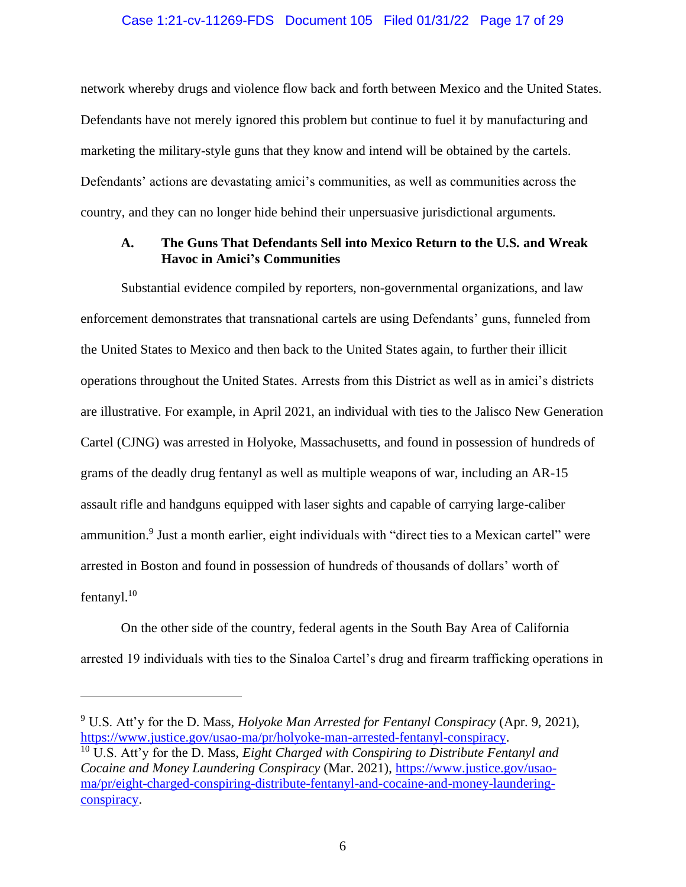#### Case 1:21-cv-11269-FDS Document 105 Filed 01/31/22 Page 17 of 29

network whereby drugs and violence flow back and forth between Mexico and the United States. Defendants have not merely ignored this problem but continue to fuel it by manufacturing and marketing the military-style guns that they know and intend will be obtained by the cartels. Defendants' actions are devastating amici's communities, as well as communities across the country, and they can no longer hide behind their unpersuasive jurisdictional arguments.

## <span id="page-16-0"></span>**A. The Guns That Defendants Sell into Mexico Return to the U.S. and Wreak Havoc in Amici's Communities**

Substantial evidence compiled by reporters, non-governmental organizations, and law enforcement demonstrates that transnational cartels are using Defendants' guns, funneled from the United States to Mexico and then back to the United States again, to further their illicit operations throughout the United States. Arrests from this District as well as in amici's districts are illustrative. For example, in April 2021, an individual with ties to the Jalisco New Generation Cartel (CJNG) was arrested in Holyoke, Massachusetts, and found in possession of hundreds of grams of the deadly drug fentanyl as well as multiple weapons of war, including an AR-15 assault rifle and handguns equipped with laser sights and capable of carrying large-caliber ammunition.<sup>9</sup> Just a month earlier, eight individuals with "direct ties to a Mexican cartel" were arrested in Boston and found in possession of hundreds of thousands of dollars' worth of fentanyl. $10$ 

On the other side of the country, federal agents in the South Bay Area of California arrested 19 individuals with ties to the Sinaloa Cartel's drug and firearm trafficking operations in

<sup>9</sup> U.S. Att'y for the D. Mass, *Holyoke Man Arrested for Fentanyl Conspiracy* (Apr. 9, 2021), [https://www.justice.gov/usao-ma/pr/holyoke-man-arrested-fentanyl-conspiracy.](https://www.justice.gov/usao-ma/pr/holyoke-man-arrested-fentanyl-conspiracy)

<sup>10</sup> U.S. Att'y for the D. Mass, *Eight Charged with Conspiring to Distribute Fentanyl and Cocaine and Money Laundering Conspiracy* (Mar. 2021), [https://www.justice.gov/usao](https://www.justice.gov/usao-ma/pr/eight-charged-conspiring-distribute-fentanyl-and-cocaine-and-money-laundering-conspiracy)[ma/pr/eight-charged-conspiring-distribute-fentanyl-and-cocaine-and-money-laundering](https://www.justice.gov/usao-ma/pr/eight-charged-conspiring-distribute-fentanyl-and-cocaine-and-money-laundering-conspiracy)[conspiracy.](https://www.justice.gov/usao-ma/pr/eight-charged-conspiring-distribute-fentanyl-and-cocaine-and-money-laundering-conspiracy)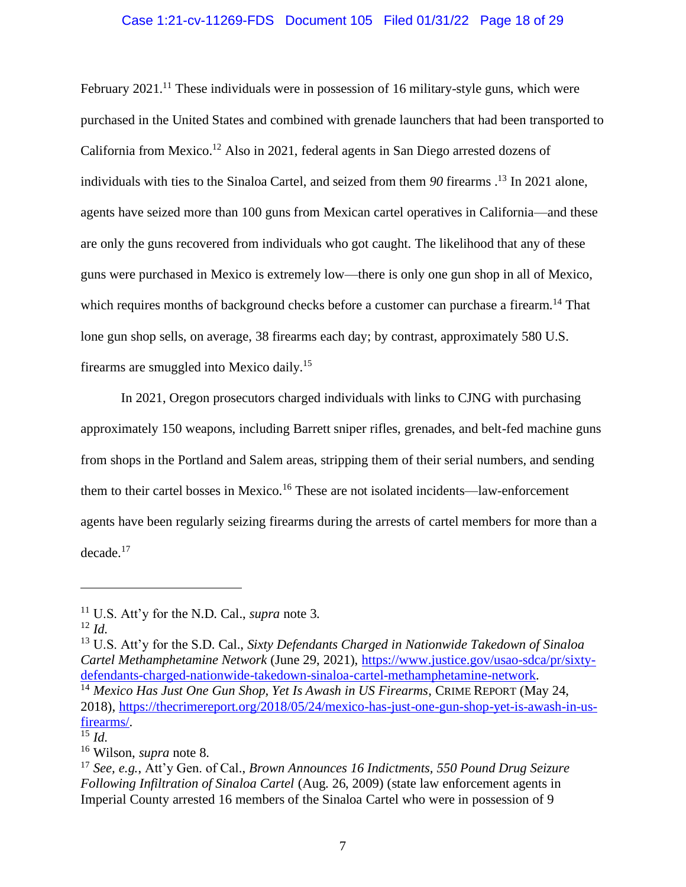# Case 1:21-cv-11269-FDS Document 105 Filed 01/31/22 Page 18 of 29

February 2021.<sup>11</sup> These individuals were in possession of 16 military-style guns, which were purchased in the United States and combined with grenade launchers that had been transported to California from Mexico.<sup>12</sup> Also in 2021, federal agents in San Diego arrested dozens of individuals with ties to the Sinaloa Cartel, and seized from them *90* firearms . <sup>13</sup> In 2021 alone, agents have seized more than 100 guns from Mexican cartel operatives in California—and these are only the guns recovered from individuals who got caught. The likelihood that any of these guns were purchased in Mexico is extremely low—there is only one gun shop in all of Mexico, which requires months of background checks before a customer can purchase a firearm.<sup>14</sup> That lone gun shop sells, on average, 38 firearms each day; by contrast, approximately 580 U.S. firearms are smuggled into Mexico daily.<sup>15</sup>

In 2021, Oregon prosecutors charged individuals with links to CJNG with purchasing approximately 150 weapons, including Barrett sniper rifles, grenades, and belt-fed machine guns from shops in the Portland and Salem areas, stripping them of their serial numbers, and sending them to their cartel bosses in Mexico.<sup>16</sup> These are not isolated incidents—law-enforcement agents have been regularly seizing firearms during the arrests of cartel members for more than a decade.<sup>17</sup>

<sup>13</sup> U.S. Att'y for the S.D. Cal., *Sixty Defendants Charged in Nationwide Takedown of Sinaloa Cartel Methamphetamine Network* (June 29, 2021), [https://www.justice.gov/usao-sdca/pr/sixty](https://www.justice.gov/usao-sdca/pr/sixty-defendants-charged-nationwide-takedown-sinaloa-cartel-methamphetamine-network)[defendants-charged-nationwide-takedown-sinaloa-cartel-methamphetamine-network.](https://www.justice.gov/usao-sdca/pr/sixty-defendants-charged-nationwide-takedown-sinaloa-cartel-methamphetamine-network) <sup>14</sup> *Mexico Has Just One Gun Shop, Yet Is Awash in US Firearms*, CRIME REPORT (May 24, 2018), [https://thecrimereport.org/2018/05/24/mexico-has-just-one-gun-shop-yet-is-awash-in-us](https://thecrimereport.org/2018/05/24/mexico-has-just-one-gun-shop-yet-is-awash-in-us-firearms/)[firearms/.](https://thecrimereport.org/2018/05/24/mexico-has-just-one-gun-shop-yet-is-awash-in-us-firearms/)

<sup>11</sup> U.S. Att'y for the N.D. Cal., *supra* note [3.](#page-13-2)

<sup>12</sup> *Id.*

 $^{15}$  *Id.* 

<sup>16</sup> Wilson, *supra* not[e 8.](#page-15-0)

<sup>17</sup> *See, e.g.*, Att'y Gen. of Cal., *Brown Announces 16 Indictments, 550 Pound Drug Seizure Following Infiltration of Sinaloa Cartel* (Aug. 26, 2009) (state law enforcement agents in Imperial County arrested 16 members of the Sinaloa Cartel who were in possession of 9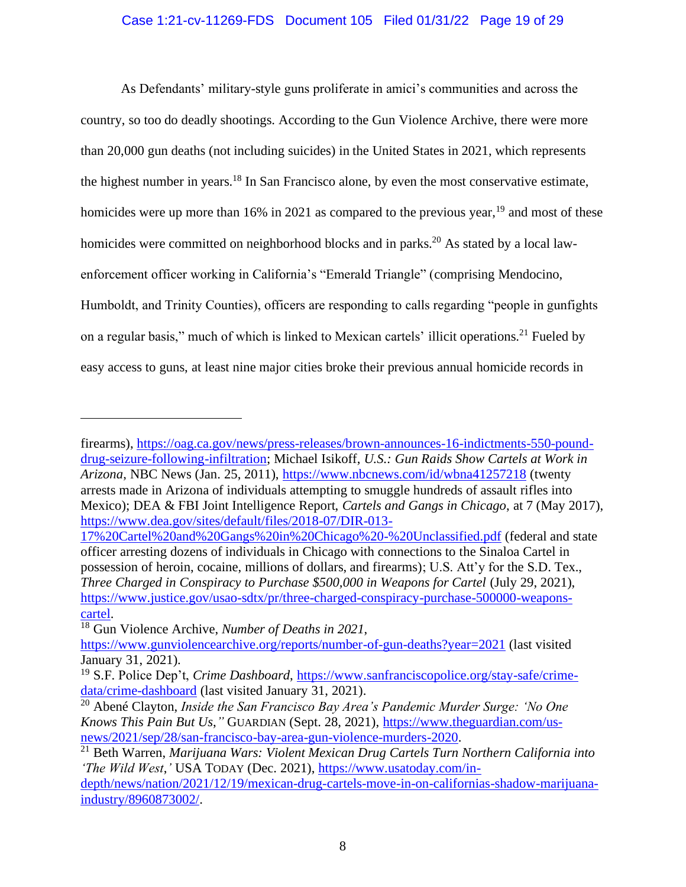#### Case 1:21-cv-11269-FDS Document 105 Filed 01/31/22 Page 19 of 29

As Defendants' military-style guns proliferate in amici's communities and across the country, so too do deadly shootings. According to the Gun Violence Archive, there were more than 20,000 gun deaths (not including suicides) in the United States in 2021, which represents the highest number in years.<sup>18</sup> In San Francisco alone, by even the most conservative estimate, homicides were up more than 16% in 2021 as compared to the previous year,  $^{19}$  and most of these homicides were committed on neighborhood blocks and in parks.<sup>20</sup> As stated by a local lawenforcement officer working in California's "Emerald Triangle" (comprising Mendocino, Humboldt, and Trinity Counties), officers are responding to calls regarding "people in gunfights on a regular basis," much of which is linked to Mexican cartels' illicit operations.<sup>21</sup> Fueled by easy access to guns, at least nine major cities broke their previous annual homicide records in

[17%20Cartel%20and%20Gangs%20in%20Chicago%20-%20Unclassified.pdf](https://www.dea.gov/sites/default/files/2018-07/DIR-013-17%20Cartel%20and%20Gangs%20in%20Chicago%20-%20Unclassified.pdf) (federal and state officer arresting dozens of individuals in Chicago with connections to the Sinaloa Cartel in possession of heroin, cocaine, millions of dollars, and firearms); U.S. Att'y for the S.D. Tex., *Three Charged in Conspiracy to Purchase \$500,000 in Weapons for Cartel* (July 29, 2021), [https://www.justice.gov/usao-sdtx/pr/three-charged-conspiracy-purchase-500000-weapons](https://www.justice.gov/usao-sdtx/pr/three-charged-conspiracy-purchase-500000-weapons-cartel)[cartel.](https://www.justice.gov/usao-sdtx/pr/three-charged-conspiracy-purchase-500000-weapons-cartel)

firearms), [https://oag.ca.gov/news/press-releases/brown-announces-16-indictments-550-pound](https://oag.ca.gov/news/press-releases/brown-announces-16-indictments-550-pound-drug-seizure-following-infiltration)[drug-seizure-following-infiltration;](https://oag.ca.gov/news/press-releases/brown-announces-16-indictments-550-pound-drug-seizure-following-infiltration) Michael Isikoff, *U.S.: Gun Raids Show Cartels at Work in Arizona*, NBC News (Jan. 25, 2011),<https://www.nbcnews.com/id/wbna41257218> (twenty arrests made in Arizona of individuals attempting to smuggle hundreds of assault rifles into Mexico); DEA & FBI Joint Intelligence Report, *Cartels and Gangs in Chicago*, at 7 (May 2017), [https://www.dea.gov/sites/default/files/2018-07/DIR-013-](https://www.dea.gov/sites/default/files/2018-07/DIR-013-17%20Cartel%20and%20Gangs%20in%20Chicago%20-%20Unclassified.pdf)

<sup>18</sup> Gun Violence Archive, *Number of Deaths in 2021*,

<https://www.gunviolencearchive.org/reports/number-of-gun-deaths?year=2021> (last visited January 31, 2021).

<sup>19</sup> S.F. Police Dep't, *Crime Dashboard*, [https://www.sanfranciscopolice.org/stay-safe/crime](https://www.sanfranciscopolice.org/stay-safe/crime-data/crime-dashboard)[data/crime-dashboard](https://www.sanfranciscopolice.org/stay-safe/crime-data/crime-dashboard) (last visited January 31, 2021).

<sup>20</sup> Abené Clayton, *Inside the San Francisco Bay Area's Pandemic Murder Surge: 'No One Knows This Pain But Us*,*"* GUARDIAN (Sept. 28, 2021), [https://www.theguardian.com/us](https://www.theguardian.com/us-news/2021/sep/28/san-francisco-bay-area-gun-violence-murders-2020)[news/2021/sep/28/san-francisco-bay-area-gun-violence-murders-2020.](https://www.theguardian.com/us-news/2021/sep/28/san-francisco-bay-area-gun-violence-murders-2020)

<sup>21</sup> Beth Warren, *Marijuana Wars: Violent Mexican Drug Cartels Turn Northern California into 'The Wild West*,*'* USA TODAY (Dec. 2021), [https://www.usatoday.com/in-](https://www.usatoday.com/in-depth/news/nation/2021/12/19/mexican-drug-cartels-move-in-on-californias-shadow-marijuana-industry/8960873002/)

[depth/news/nation/2021/12/19/mexican-drug-cartels-move-in-on-californias-shadow-marijuana](https://www.usatoday.com/in-depth/news/nation/2021/12/19/mexican-drug-cartels-move-in-on-californias-shadow-marijuana-industry/8960873002/)[industry/8960873002/.](https://www.usatoday.com/in-depth/news/nation/2021/12/19/mexican-drug-cartels-move-in-on-californias-shadow-marijuana-industry/8960873002/)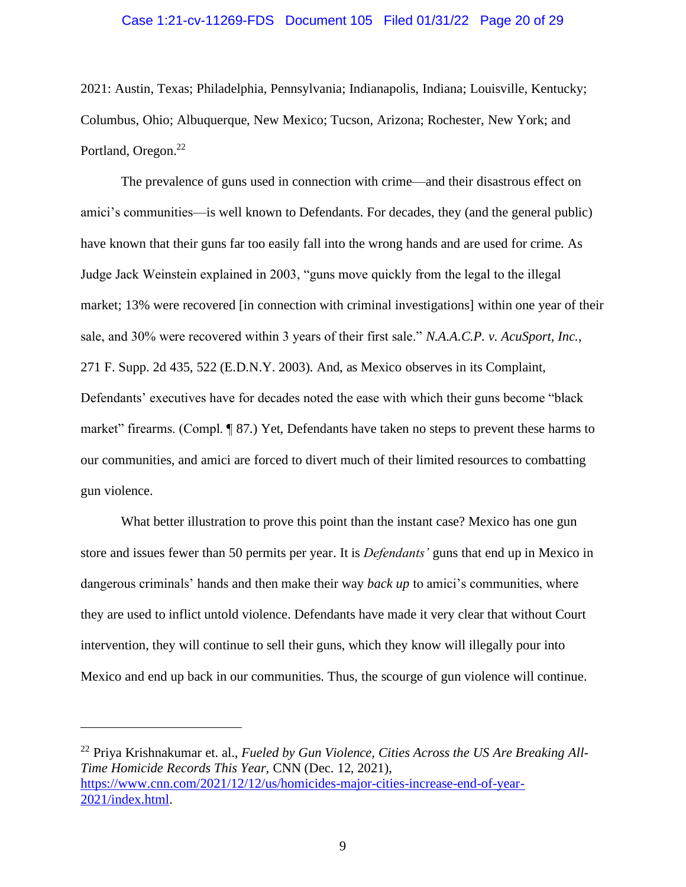#### Case 1:21-cv-11269-FDS Document 105 Filed 01/31/22 Page 20 of 29

2021: Austin, Texas; Philadelphia, Pennsylvania; Indianapolis, Indiana; Louisville, Kentucky; Columbus, Ohio; Albuquerque, New Mexico; Tucson, Arizona; Rochester, New York; and Portland, Oregon.<sup>22</sup>

The prevalence of guns used in connection with crime—and their disastrous effect on amici's communities—is well known to Defendants. For decades, they (and the general public) have known that their guns far too easily fall into the wrong hands and are used for crime. As Judge Jack Weinstein explained in 2003, "guns move quickly from the legal to the illegal market; 13% were recovered [in connection with criminal investigations] within one year of their sale, and 30% were recovered within 3 years of their first sale." *N.A.A.C.P. v. AcuSport, Inc.*, 271 F. Supp. 2d 435, 522 (E.D.N.Y. 2003). And, as Mexico observes in its Complaint, Defendants' executives have for decades noted the ease with which their guns become "black market" firearms. (Compl. ¶ 87.) Yet, Defendants have taken no steps to prevent these harms to our communities, and amici are forced to divert much of their limited resources to combatting gun violence.

What better illustration to prove this point than the instant case? Mexico has one gun store and issues fewer than 50 permits per year. It is *Defendants'* guns that end up in Mexico in dangerous criminals' hands and then make their way *back up* to amici's communities, where they are used to inflict untold violence. Defendants have made it very clear that without Court intervention, they will continue to sell their guns, which they know will illegally pour into Mexico and end up back in our communities. Thus, the scourge of gun violence will continue.

<sup>22</sup> Priya Krishnakumar et. al., *Fueled by Gun Violence, Cities Across the US Are Breaking All-Time Homicide Records This Year*, CNN (Dec. 12, 2021), [https://www.cnn.com/2021/12/12/us/homicides-major-cities-increase-end-of-year-](https://www.cnn.com/2021/12/12/us/homicides-major-cities-increase-end-of-year-2021/index.html)[2021/index.html.](https://www.cnn.com/2021/12/12/us/homicides-major-cities-increase-end-of-year-2021/index.html)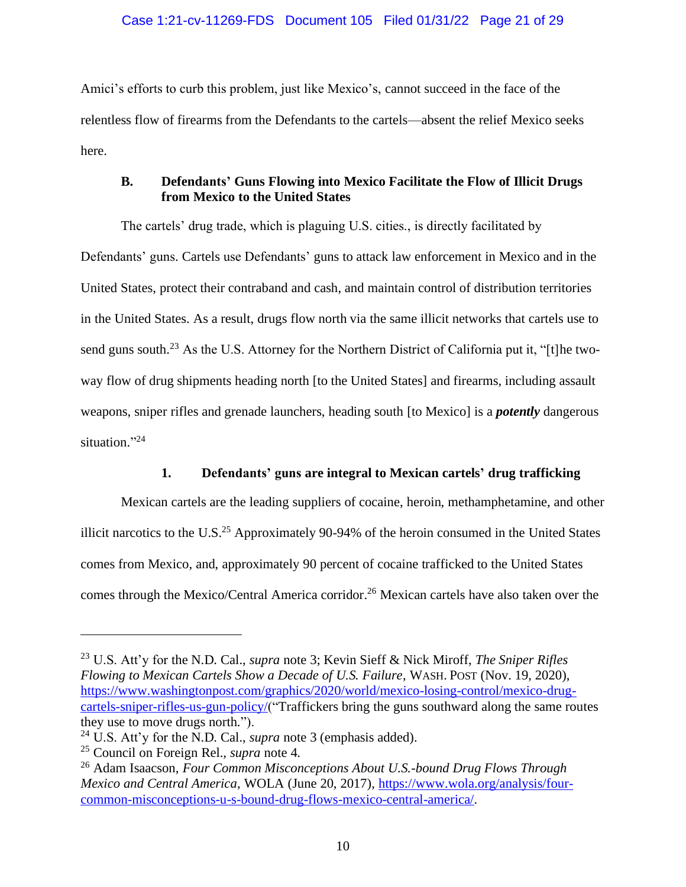Amici's efforts to curb this problem, just like Mexico's, cannot succeed in the face of the relentless flow of firearms from the Defendants to the cartels—absent the relief Mexico seeks here.

# <span id="page-20-0"></span>**B. Defendants' Guns Flowing into Mexico Facilitate the Flow of Illicit Drugs from Mexico to the United States**

The cartels' drug trade, which is plaguing U.S. cities., is directly facilitated by Defendants' guns. Cartels use Defendants' guns to attack law enforcement in Mexico and in the United States, protect their contraband and cash, and maintain control of distribution territories in the United States. As a result, drugs flow north via the same illicit networks that cartels use to send guns south.<sup>23</sup> As the U.S. Attorney for the Northern District of California put it, "[t]he twoway flow of drug shipments heading north [to the United States] and firearms, including assault weapons, sniper rifles and grenade launchers, heading south [to Mexico] is a *potently* dangerous situation."<sup>24</sup>

# **1. Defendants' guns are integral to Mexican cartels' drug trafficking**

<span id="page-20-1"></span>Mexican cartels are the leading suppliers of cocaine, heroin, methamphetamine, and other illicit narcotics to the U.S.<sup>25</sup> Approximately 90-94% of the heroin consumed in the United States comes from Mexico, and, approximately 90 percent of cocaine trafficked to the United States comes through the Mexico/Central America corridor. <sup>26</sup> Mexican cartels have also taken over the

<sup>23</sup> U.S. Att'y for the N.D. Cal., *supra* note [3;](#page-13-2) Kevin Sieff & Nick Miroff, *The Sniper Rifles Flowing to Mexican Cartels Show a Decade of U.S. Failure*, WASH. POST (Nov. 19, 2020), [https://www.washingtonpost.com/graphics/2020/world/mexico-losing-control/mexico-drug](https://www.washingtonpost.com/graphics/2020/world/mexico-losing-control/mexico-drug-cartels-sniper-rifles-us-gun-policy/)[cartels-sniper-rifles-us-gun-policy/\(](https://www.washingtonpost.com/graphics/2020/world/mexico-losing-control/mexico-drug-cartels-sniper-rifles-us-gun-policy/)"Traffickers bring the guns southward along the same routes they use to move drugs north.").

<sup>24</sup> U.S. Att'y for the N.D. Cal., *supra* note [3](#page-13-2) (emphasis added).

<sup>25</sup> Council on Foreign Rel., *supra* note [4.](#page-14-0)

<sup>26</sup> Adam Isaacson, *Four Common Misconceptions About U.S.-bound Drug Flows Through Mexico and Central America*, WOLA (June 20, 2017), [https://www.wola.org/analysis/four](https://www.wola.org/analysis/four-common-misconceptions-u-s-bound-drug-flows-mexico-central-america/)[common-misconceptions-u-s-bound-drug-flows-mexico-central-america/.](https://www.wola.org/analysis/four-common-misconceptions-u-s-bound-drug-flows-mexico-central-america/)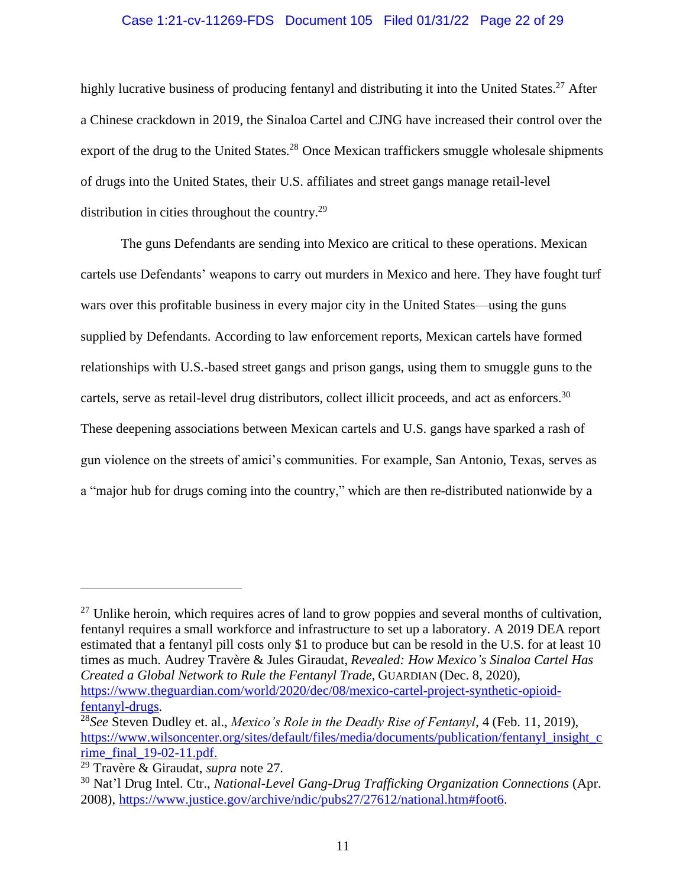#### <span id="page-21-0"></span>Case 1:21-cv-11269-FDS Document 105 Filed 01/31/22 Page 22 of 29

highly lucrative business of producing fentanyl and distributing it into the United States.<sup>27</sup> After a Chinese crackdown in 2019, the Sinaloa Cartel and CJNG have increased their control over the export of the drug to the United States.<sup>28</sup> Once Mexican traffickers smuggle wholesale shipments of drugs into the United States, their U.S. affiliates and street gangs manage retail-level distribution in cities throughout the country.<sup>29</sup>

The guns Defendants are sending into Mexico are critical to these operations. Mexican cartels use Defendants' weapons to carry out murders in Mexico and here. They have fought turf wars over this profitable business in every major city in the United States—using the guns supplied by Defendants. According to law enforcement reports, Mexican cartels have formed relationships with U.S.-based street gangs and prison gangs, using them to smuggle guns to the cartels, serve as retail-level drug distributors, collect illicit proceeds, and act as enforcers.<sup>30</sup> These deepening associations between Mexican cartels and U.S. gangs have sparked a rash of gun violence on the streets of amici's communities. For example, San Antonio, Texas, serves as a "major hub for drugs coming into the country," which are then re-distributed nationwide by a

 $27$  Unlike heroin, which requires acres of land to grow poppies and several months of cultivation, fentanyl requires a small workforce and infrastructure to set up a laboratory. A 2019 DEA report estimated that a fentanyl pill costs only \$1 to produce but can be resold in the U.S. for at least 10 times as much. Audrey Travère & Jules Giraudat, *Revealed: How Mexico's Sinaloa Cartel Has Created a Global Network to Rule the Fentanyl Trade*, GUARDIAN (Dec. 8, 2020), [https://www.theguardian.com/world/2020/dec/08/mexico-cartel-project-synthetic-opioid](https://www.theguardian.com/world/2020/dec/08/mexico-cartel-project-synthetic-opioid-fentanyl-drugs)[fentanyl-drugs.](https://www.theguardian.com/world/2020/dec/08/mexico-cartel-project-synthetic-opioid-fentanyl-drugs)

<sup>28</sup>*See* Steven Dudley et. al., *Mexico's Role in the Deadly Rise of Fentanyl*, 4 (Feb. 11, 2019), [https://www.wilsoncenter.org/sites/default/files/media/documents/publication/fentanyl\\_insight\\_c](https://www.wilsoncenter.org/sites/default/files/media/documents/publication/fentanyl_insight_crime_final_19-02-11.pdf) rime $final$  19-02-11.pdf.

<sup>29</sup> Travère & Giraudat, *supra* not[e 27.](#page-21-0)

<sup>30</sup> Nat'l Drug Intel. Ctr., *National-Level Gang-Drug Trafficking Organization Connections* (Apr. 2008), [https://www.justice.gov/archive/ndic/pubs27/27612/national.htm#foot6.](https://www.justice.gov/archive/ndic/pubs27/27612/national.htm#foot6)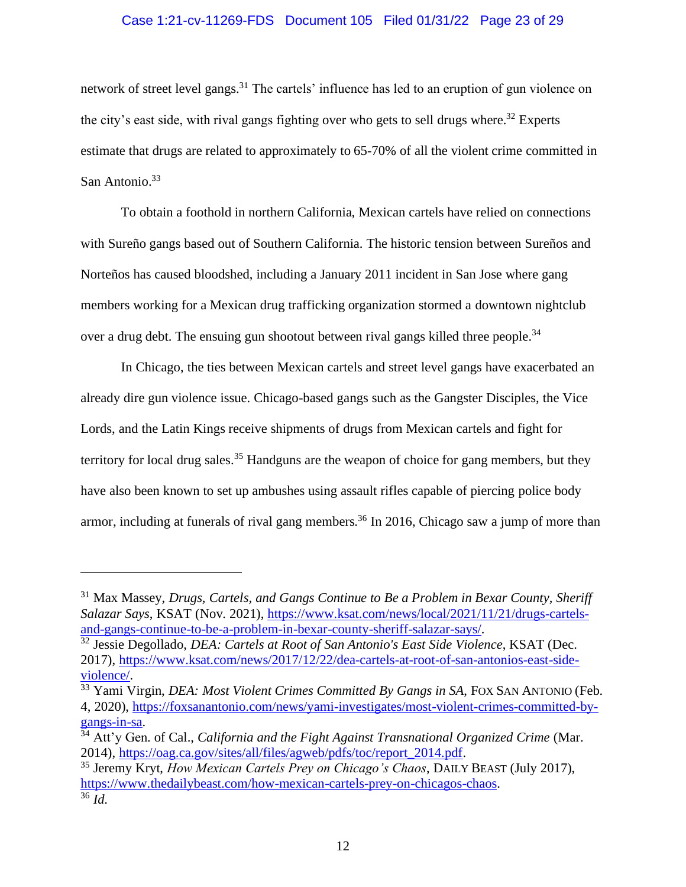# Case 1:21-cv-11269-FDS Document 105 Filed 01/31/22 Page 23 of 29

network of street level gangs.<sup>31</sup> The cartels' influence has led to an eruption of gun violence on the city's east side, with rival gangs fighting over who gets to sell drugs where.<sup>32</sup> Experts estimate that drugs are related to approximately to 65-70% of all the violent crime committed in San Antonio.<sup>33</sup>

To obtain a foothold in northern California, Mexican cartels have relied on connections with Sureño gangs based out of Southern California. The historic tension between Sureños and Norteños has caused bloodshed, including a January 2011 incident in San Jose where gang members working for a Mexican drug trafficking organization stormed a downtown nightclub over a drug debt. The ensuing gun shootout between rival gangs killed three people.<sup>34</sup>

In Chicago, the ties between Mexican cartels and street level gangs have exacerbated an already dire gun violence issue. Chicago-based gangs such as the Gangster Disciples, the Vice Lords, and the Latin Kings receive shipments of drugs from Mexican cartels and fight for territory for local drug sales.<sup>35</sup> Handguns are the weapon of choice for gang members, but they have also been known to set up ambushes using assault rifles capable of piercing police body armor, including at funerals of rival gang members.<sup>36</sup> In 2016, Chicago saw a jump of more than

<sup>31</sup> Max Massey, *Drugs, Cartels, and Gangs Continue to Be a Problem in Bexar County, Sheriff Salazar Says*, KSAT (Nov. 2021), [https://www.ksat.com/news/local/2021/11/21/drugs-cartels](https://www.ksat.com/news/local/2021/11/21/drugs-cartels-and-gangs-continue-to-be-a-problem-in-bexar-county-sheriff-salazar-says/)[and-gangs-continue-to-be-a-problem-in-bexar-county-sheriff-salazar-says/.](https://www.ksat.com/news/local/2021/11/21/drugs-cartels-and-gangs-continue-to-be-a-problem-in-bexar-county-sheriff-salazar-says/)

<sup>32</sup> Jessie Degollado, *DEA: Cartels at Root of San Antonio's East Side Violence*, KSAT (Dec. 2017), [https://www.ksat.com/news/2017/12/22/dea-cartels-at-root-of-san-antonios-east-side](https://www.ksat.com/news/2017/12/22/dea-cartels-at-root-of-san-antonios-east-side-violence/)[violence/.](https://www.ksat.com/news/2017/12/22/dea-cartels-at-root-of-san-antonios-east-side-violence/)

<sup>33</sup> Yami Virgin, *DEA: Most Violent Crimes Committed By Gangs in SA*, FOX SAN ANTONIO (Feb. 4, 2020), [https://foxsanantonio.com/news/yami-investigates/most-violent-crimes-committed-by](https://foxsanantonio.com/news/yami-investigates/most-violent-crimes-committed-by-gangs-in-sa)[gangs-in-sa.](https://foxsanantonio.com/news/yami-investigates/most-violent-crimes-committed-by-gangs-in-sa)

<sup>34</sup> Att'y Gen. of Cal., *California and the Fight Against Transnational Organized Crime* (Mar. 2014), [https://oag.ca.gov/sites/all/files/agweb/pdfs/toc/report\\_2014.pdf.](https://oag.ca.gov/sites/all/files/agweb/pdfs/toc/report_2014.pdf)

<sup>35</sup> Jeremy Kryt, *How Mexican Cartels Prey on Chicago's Chaos*, DAILY BEAST (July 2017), [https://www.thedailybeast.com/how-mexican-cartels-prey-on-chicagos-chaos.](https://www.thedailybeast.com/how-mexican-cartels-prey-on-chicagos-chaos)  $36$   $\overline{Id}$ .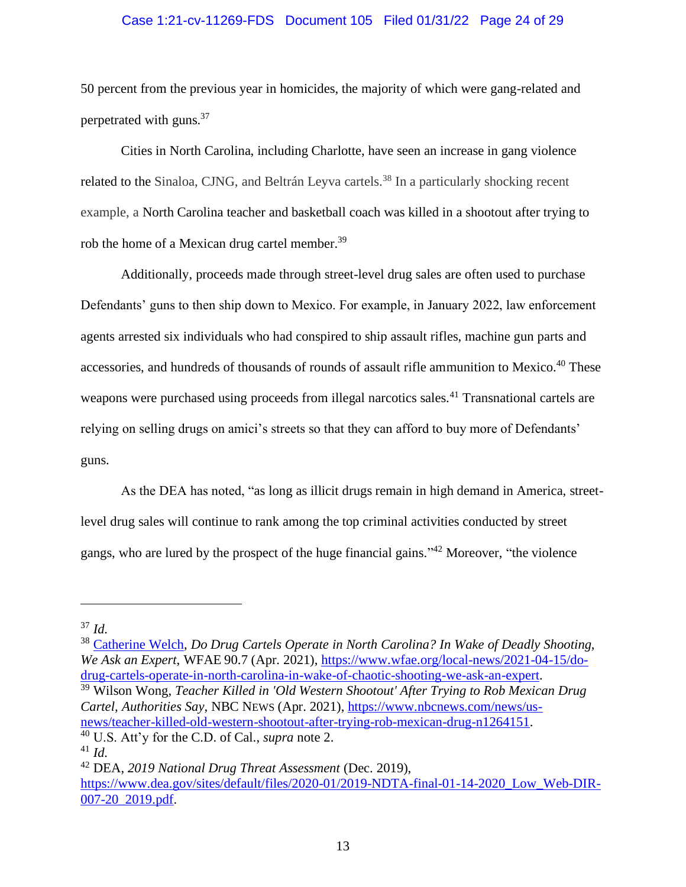#### Case 1:21-cv-11269-FDS Document 105 Filed 01/31/22 Page 24 of 29

50 percent from the previous year in homicides, the majority of which were gang-related and perpetrated with guns.<sup>37</sup>

Cities in North Carolina, including Charlotte, have seen an increase in gang violence related to the Sinaloa, CJNG, and Beltrán Leyva cartels.<sup>38</sup> In a particularly shocking recent example, a North Carolina teacher and basketball coach was killed in a shootout after trying to rob the home of a Mexican drug cartel member.<sup>39</sup>

Additionally, proceeds made through street-level drug sales are often used to purchase Defendants' guns to then ship down to Mexico. For example, in January 2022, law enforcement agents arrested six individuals who had conspired to ship assault rifles, machine gun parts and accessories, and hundreds of thousands of rounds of assault rifle ammunition to Mexico.<sup>40</sup> These weapons were purchased using proceeds from illegal narcotics sales.<sup>41</sup> Transnational cartels are relying on selling drugs on amici's streets so that they can afford to buy more of Defendants' guns.

As the DEA has noted, "as long as illicit drugs remain in high demand in America, streetlevel drug sales will continue to rank among the top criminal activities conducted by street gangs, who are lured by the prospect of the huge financial gains."<sup>42</sup> Moreover, "the violence

<sup>38</sup> [Catherine Welch,](https://www.wfae.org/people/catherine-welch) *Do Drug Cartels Operate in North Carolina? In Wake of Deadly Shooting, We Ask an Expert*, WFAE 90.7 (Apr. 2021), [https://www.wfae.org/local-news/2021-04-15/do](https://www.wfae.org/local-news/2021-04-15/do-drug-cartels-operate-in-north-carolina-in-wake-of-chaotic-shooting-we-ask-an-expert)[drug-cartels-operate-in-north-carolina-in-wake-of-chaotic-shooting-we-ask-an-expert.](https://www.wfae.org/local-news/2021-04-15/do-drug-cartels-operate-in-north-carolina-in-wake-of-chaotic-shooting-we-ask-an-expert) <sup>39</sup> Wilson Wong, *Teacher Killed in 'Old Western Shootout' After Trying to Rob Mexican Drug Cartel, Authorities Say*, NBC NEWS (Apr. 2021), [https://www.nbcnews.com/news/us](https://www.nbcnews.com/news/us-news/teacher-killed-old-western-shootout-after-trying-rob-mexican-drug-n1264151)[news/teacher-killed-old-western-shootout-after-trying-rob-mexican-drug-n1264151.](https://www.nbcnews.com/news/us-news/teacher-killed-old-western-shootout-after-trying-rob-mexican-drug-n1264151)

<sup>37</sup> *Id.*

<sup>40</sup> U.S. Att'y for the C.D. of Cal., *supra* note [2.](#page-13-1)

<sup>41</sup> *Id.*

<sup>42</sup> DEA, *2019 National Drug Threat Assessment* (Dec. 2019), [https://www.dea.gov/sites/default/files/2020-01/2019-NDTA-final-01-14-2020\\_Low\\_Web-DIR-](https://www.dea.gov/sites/default/files/2020-01/2019-NDTA-final-01-14-2020_Low_Web-DIR-007-20_2019.pdf)[007-20\\_2019.pdf.](https://www.dea.gov/sites/default/files/2020-01/2019-NDTA-final-01-14-2020_Low_Web-DIR-007-20_2019.pdf)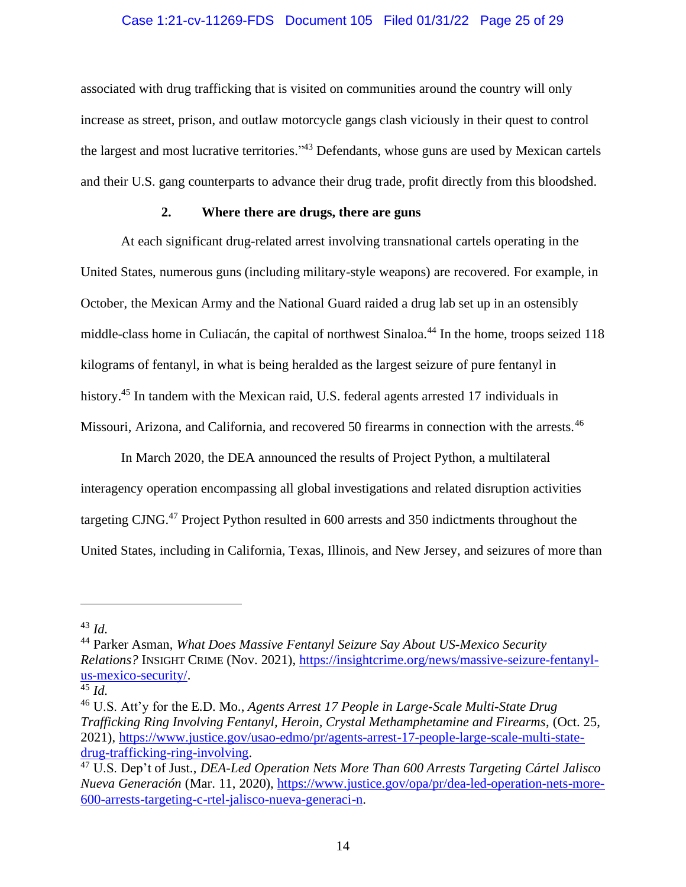#### Case 1:21-cv-11269-FDS Document 105 Filed 01/31/22 Page 25 of 29

associated with drug trafficking that is visited on communities around the country will only increase as street, prison, and outlaw motorcycle gangs clash viciously in their quest to control the largest and most lucrative territories."<sup>43</sup> Defendants, whose guns are used by Mexican cartels and their U.S. gang counterparts to advance their drug trade, profit directly from this bloodshed.

# **2. Where there are drugs, there are guns**

<span id="page-24-0"></span>At each significant drug-related arrest involving transnational cartels operating in the United States, numerous guns (including military-style weapons) are recovered. For example, in October, the Mexican Army and the National Guard raided a drug lab set up in an ostensibly middle-class home in Culiacán, the capital of northwest Sinaloa.<sup>44</sup> In the home, troops seized 118 kilograms of fentanyl, in what is being heralded as the largest seizure of pure fentanyl in history.<sup>45</sup> In tandem with the Mexican raid, U.S. federal agents arrested 17 individuals in Missouri, Arizona, and California, and recovered 50 firearms in connection with the arrests.<sup>46</sup>

In March 2020, the DEA announced the results of Project Python, a multilateral interagency operation encompassing all global investigations and related disruption activities targeting CJNG.<sup>47</sup> Project Python resulted in 600 arrests and 350 indictments throughout the United States, including in California, Texas, Illinois, and New Jersey, and seizures of more than

<sup>43</sup> *Id.*

<sup>44</sup> Parker Asman, *What Does Massive Fentanyl Seizure Say About US-Mexico Security Relations?* INSIGHT CRIME (Nov. 2021), [https://insightcrime.org/news/massive-seizure-fentanyl](https://insightcrime.org/news/massive-seizure-fentanyl-us-mexico-security/)[us-mexico-security/.](https://insightcrime.org/news/massive-seizure-fentanyl-us-mexico-security/)

<sup>45</sup> *Id.*

<sup>46</sup> U.S. Att'y for the E.D. Mo., *Agents Arrest 17 People in Large-Scale Multi-State Drug Trafficking Ring Involving Fentanyl, Heroin, Crystal Methamphetamine and Firearms*, (Oct. 25, 2021), [https://www.justice.gov/usao-edmo/pr/agents-arrest-17-people-large-scale-multi-state](https://www.justice.gov/usao-edmo/pr/agents-arrest-17-people-large-scale-multi-state-drug-trafficking-ring-involving)[drug-trafficking-ring-involving.](https://www.justice.gov/usao-edmo/pr/agents-arrest-17-people-large-scale-multi-state-drug-trafficking-ring-involving)

<sup>47</sup> U.S. Dep't of Just., *DEA-Led Operation Nets More Than 600 Arrests Targeting Cártel Jalisco Nueva Generación* (Mar. 11, 2020), [https://www.justice.gov/opa/pr/dea-led-operation-nets-more-](https://www.justice.gov/opa/pr/dea-led-operation-nets-more-600-arrests-targeting-c-rtel-jalisco-nueva-generaci-n)[600-arrests-targeting-c-rtel-jalisco-nueva-generaci-n.](https://www.justice.gov/opa/pr/dea-led-operation-nets-more-600-arrests-targeting-c-rtel-jalisco-nueva-generaci-n)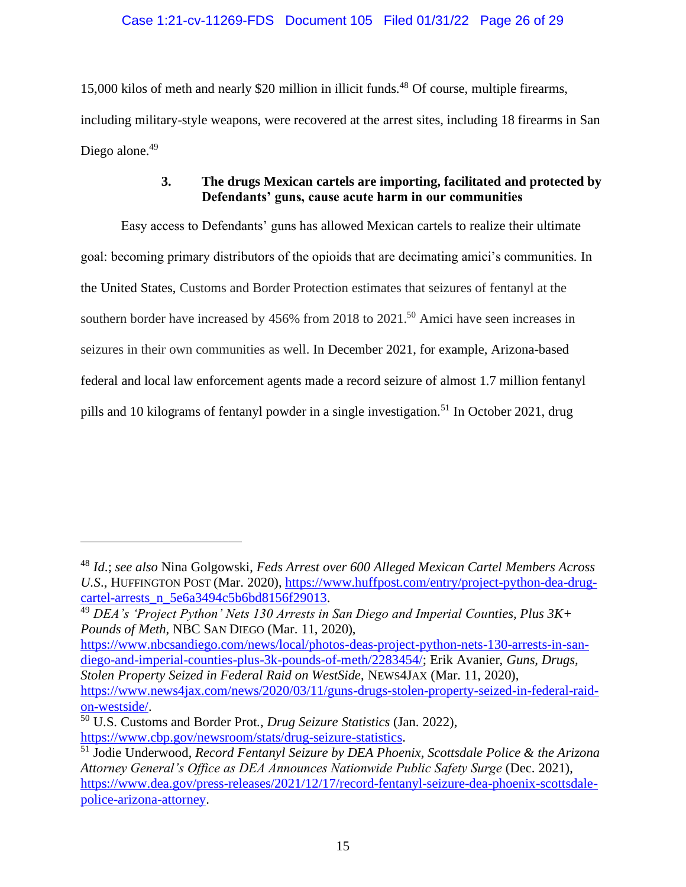15,000 kilos of meth and nearly \$20 million in illicit funds.<sup>48</sup> Of course, multiple firearms, including military-style weapons, were recovered at the arrest sites, including 18 firearms in San Diego alone.<sup>49</sup>

# **3. The drugs Mexican cartels are importing, facilitated and protected by Defendants' guns, cause acute harm in our communities**

<span id="page-25-0"></span>Easy access to Defendants' guns has allowed Mexican cartels to realize their ultimate goal: becoming primary distributors of the opioids that are decimating amici's communities. In the United States, Customs and Border Protection estimates that seizures of fentanyl at the southern border have increased by 456% from 2018 to 2021. <sup>50</sup> Amici have seen increases in seizures in their own communities as well. In December 2021, for example, Arizona-based federal and local law enforcement agents made a record seizure of almost 1.7 million fentanyl pills and 10 kilograms of fentanyl powder in a single investigation.<sup>51</sup> In October 2021, drug

[https://www.nbcsandiego.com/news/local/photos-deas-project-python-nets-130-arrests-in-san](https://www.nbcsandiego.com/news/local/photos-deas-project-python-nets-130-arrests-in-san-diego-and-imperial-counties-plus-3k-pounds-of-meth/2283454/)[diego-and-imperial-counties-plus-3k-pounds-of-meth/2283454/;](https://www.nbcsandiego.com/news/local/photos-deas-project-python-nets-130-arrests-in-san-diego-and-imperial-counties-plus-3k-pounds-of-meth/2283454/) Erik Avanier, *Guns, Drugs, Stolen Property Seized in Federal Raid on WestSide*, NEWS4JAX (Mar. 11, 2020), [https://www.news4jax.com/news/2020/03/11/guns-drugs-stolen-property-seized-in-federal-raid](https://www.news4jax.com/news/2020/03/11/guns-drugs-stolen-property-seized-in-federal-raid-on-westside/)[on-westside/.](https://www.news4jax.com/news/2020/03/11/guns-drugs-stolen-property-seized-in-federal-raid-on-westside/)

<sup>48</sup> *Id*.; *see also* Nina Golgowski, *Feds Arrest over 600 Alleged Mexican Cartel Members Across U.S*., HUFFINGTON POST (Mar. 2020), [https://www.huffpost.com/entry/project-python-dea-drug](https://www.huffpost.com/entry/project-python-dea-drug-cartel-arrests_n_5e6a3494c5b6bd8156f29013)[cartel-arrests\\_n\\_5e6a3494c5b6bd8156f29013.](https://www.huffpost.com/entry/project-python-dea-drug-cartel-arrests_n_5e6a3494c5b6bd8156f29013)

<sup>49</sup> *DEA's 'Project Python' Nets 130 Arrests in San Diego and Imperial Counties, Plus 3K+ Pounds of Meth*, NBC SAN DIEGO (Mar. 11, 2020),

<sup>50</sup> U.S. Customs and Border Prot., *Drug Seizure Statistics* (Jan. 2022), [https://www.cbp.gov/newsroom/stats/drug-seizure-statistics.](https://www.cbp.gov/newsroom/stats/drug-seizure-statistics)

<sup>51</sup> Jodie Underwood, *Record Fentanyl Seizure by DEA Phoenix, Scottsdale Police & the Arizona Attorney General's Office as DEA Announces Nationwide Public Safety Surge* (Dec. 2021), [https://www.dea.gov/press-releases/2021/12/17/record-fentanyl-seizure-dea-phoenix-scottsdale](https://www.dea.gov/press-releases/2021/12/17/record-fentanyl-seizure-dea-phoenix-scottsdale-police-arizona-attorney)[police-arizona-attorney.](https://www.dea.gov/press-releases/2021/12/17/record-fentanyl-seizure-dea-phoenix-scottsdale-police-arizona-attorney)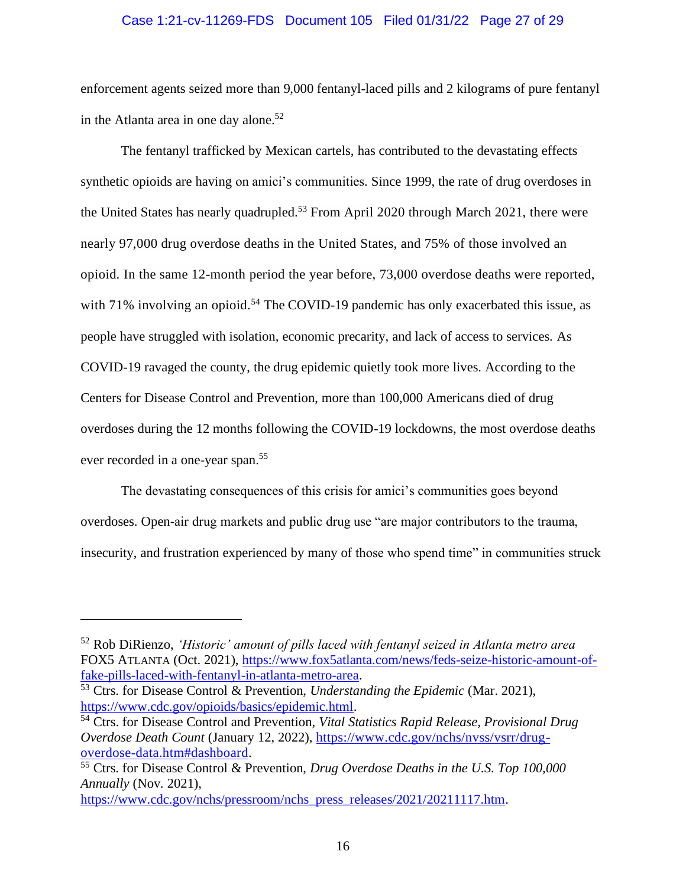#### Case 1:21-cv-11269-FDS Document 105 Filed 01/31/22 Page 27 of 29

enforcement agents seized more than 9,000 fentanyl-laced pills and 2 kilograms of pure fentanyl in the Atlanta area in one day alone.<sup>52</sup>

The fentanyl trafficked by Mexican cartels, has contributed to the devastating effects synthetic opioids are having on amici's communities. Since 1999, the rate of drug overdoses in the United States has nearly quadrupled.<sup>53</sup> From April 2020 through March 2021, there were nearly 97,000 drug overdose deaths in the United States, and 75% of those involved an opioid. In the same 12-month period the year before, 73,000 overdose deaths were reported, with 71% involving an opioid.<sup>54</sup> The COVID-19 pandemic has only exacerbated this issue, as people have struggled with isolation, economic precarity, and lack of access to services. As COVID-19 ravaged the county, the drug epidemic quietly took more lives. According to the Centers for Disease Control and Prevention, more than 100,000 Americans died of drug overdoses during the 12 months following the COVID-19 lockdowns, the most overdose deaths ever recorded in a one-year span.<sup>55</sup>

The devastating consequences of this crisis for amici's communities goes beyond overdoses. Open-air drug markets and public drug use "are major contributors to the trauma, insecurity, and frustration experienced by many of those who spend time" in communities struck

<sup>52</sup> Rob DiRienzo, *'Historic' amount of pills laced with fentanyl seized in Atlanta metro area* FOX5 ATLANTA (Oct. 2021), [https://www.fox5atlanta.com/news/feds-seize-historic-amount-of](https://www.fox5atlanta.com/news/feds-seize-historic-amount-of-fake-pills-laced-with-fentanyl-in-atlanta-metro-area)[fake-pills-laced-with-fentanyl-in-atlanta-metro-area.](https://www.fox5atlanta.com/news/feds-seize-historic-amount-of-fake-pills-laced-with-fentanyl-in-atlanta-metro-area)

<sup>53</sup> Ctrs. for Disease Control & Prevention, *Understanding the Epidemic* (Mar. 2021), [https://www.cdc.gov/opioids/basics/epidemic.html.](https://www.cdc.gov/opioids/basics/epidemic.html)

<sup>54</sup> Ctrs. for Disease Control and Prevention, *Vital Statistics Rapid Release, Provisional Drug Overdose Death Count* (January 12, 2022), [https://www.cdc.gov/nchs/nvss/vsrr/drug](https://www.cdc.gov/nchs/nvss/vsrr/drug-overdose-data.htm#dashboard)[overdose-data.htm#dashboard.](https://www.cdc.gov/nchs/nvss/vsrr/drug-overdose-data.htm#dashboard)

<sup>55</sup> Ctrs. for Disease Control & Prevention, *Drug Overdose Deaths in the U.S. Top 100,000 Annually* (Nov. 2021),

[https://www.cdc.gov/nchs/pressroom/nchs\\_press\\_releases/2021/20211117.htm.](https://www.cdc.gov/nchs/pressroom/nchs_press_releases/2021/20211117.htm)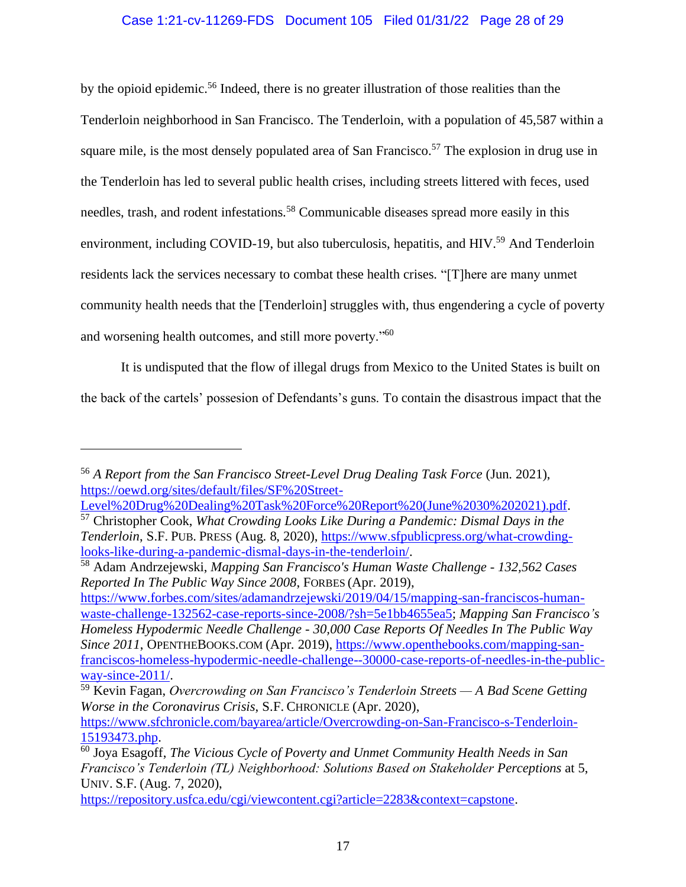# Case 1:21-cv-11269-FDS Document 105 Filed 01/31/22 Page 28 of 29

by the opioid epidemic.<sup>56</sup> Indeed, there is no greater illustration of those realities than the Tenderloin neighborhood in San Francisco. The Tenderloin, with a population of 45,587 within a square mile, is the most densely populated area of San Francisco.<sup>57</sup> The explosion in drug use in the Tenderloin has led to several public health crises, including streets littered with feces, used needles, trash, and rodent infestations.<sup>58</sup> Communicable diseases spread more easily in this environment, including COVID-19, but also tuberculosis, hepatitis, and HIV.<sup>59</sup> And Tenderloin residents lack the services necessary to combat these health crises. "[T]here are many unmet community health needs that the [Tenderloin] struggles with, thus engendering a cycle of poverty and worsening health outcomes, and still more poverty."<sup>60</sup>

It is undisputed that the flow of illegal drugs from Mexico to the United States is built on the back of the cartels' possesion of Defendants's guns. To contain the disastrous impact that the

[https://www.forbes.com/sites/adamandrzejewski/2019/04/15/mapping-san-franciscos-human](https://www.forbes.com/sites/adamandrzejewski/2019/04/15/mapping-san-franciscos-human-waste-challenge-132562-case-reports-since-2008/?sh=5e1bb4655ea5)[waste-challenge-132562-case-reports-since-2008/?sh=5e1bb4655ea5;](https://www.forbes.com/sites/adamandrzejewski/2019/04/15/mapping-san-franciscos-human-waste-challenge-132562-case-reports-since-2008/?sh=5e1bb4655ea5) *Mapping San Francisco's Homeless Hypodermic Needle Challenge - 30,000 Case Reports Of Needles In The Public Way Since 2011*, OPENTHEBOOKS.COM (Apr. 2019), [https://www.openthebooks.com/mapping-san](https://www.openthebooks.com/mapping-san-franciscos-homeless-hypodermic-needle-challenge--30000-case-reports-of-needles-in-the-public-way-since-2011/)[franciscos-homeless-hypodermic-needle-challenge--30000-case-reports-of-needles-in-the-public](https://www.openthebooks.com/mapping-san-franciscos-homeless-hypodermic-needle-challenge--30000-case-reports-of-needles-in-the-public-way-since-2011/)[way-since-2011/.](https://www.openthebooks.com/mapping-san-franciscos-homeless-hypodermic-needle-challenge--30000-case-reports-of-needles-in-the-public-way-since-2011/)

<sup>56</sup> *A Report from the San Francisco Street-Level Drug Dealing Task Force* (Jun. 2021), [https://oewd.org/sites/default/files/SF%20Street-](https://oewd.org/sites/default/files/SF%20Street-Level%20Drug%20Dealing%20Task%20Force%20Report%20(June%2030%202021).pdf)

[Level%20Drug%20Dealing%20Task%20Force%20Report%20\(June%2030%202021\).pdf.](https://oewd.org/sites/default/files/SF%20Street-Level%20Drug%20Dealing%20Task%20Force%20Report%20(June%2030%202021).pdf) <sup>57</sup> Christopher Cook, *What Crowding Looks Like During a Pandemic: Dismal Days in the Tenderloin*, S.F. PUB. PRESS (Aug. 8, 2020), [https://www.sfpublicpress.org/what-crowding](https://www.sfpublicpress.org/what-crowding-looks-like-during-a-pandemic-dismal-days-in-the-tenderloin/)[looks-like-during-a-pandemic-dismal-days-in-the-tenderloin/.](https://www.sfpublicpress.org/what-crowding-looks-like-during-a-pandemic-dismal-days-in-the-tenderloin/)

<sup>58</sup> Adam Andrzejewski, *Mapping San Francisco's Human Waste Challenge - 132,562 Cases Reported In The Public Way Since 2008*, FORBES (Apr. 2019),

<sup>59</sup> Kevin Fagan, *Overcrowding on San Francisco's Tenderloin Streets — A Bad Scene Getting Worse in the Coronavirus Crisis*, S.F. CHRONICLE (Apr. 2020),

[https://www.sfchronicle.com/bayarea/article/Overcrowding-on-San-Francisco-s-Tenderloin-](https://www.sfchronicle.com/bayarea/article/Overcrowding-on-San-Francisco-s-Tenderloin-15193473.php)[15193473.php.](https://www.sfchronicle.com/bayarea/article/Overcrowding-on-San-Francisco-s-Tenderloin-15193473.php)

<sup>60</sup> Joya Esagoff, *The Vicious Cycle of Poverty and Unmet Community Health Needs in San Francisco's Tenderloin (TL) Neighborhood: Solutions Based on Stakeholder Perceptions* at 5, UNIV. S.F. (Aug. 7, 2020),

[https://repository.usfca.edu/cgi/viewcontent.cgi?article=2283&context=capstone.](https://repository.usfca.edu/cgi/viewcontent.cgi?article=2283&context=capstone)